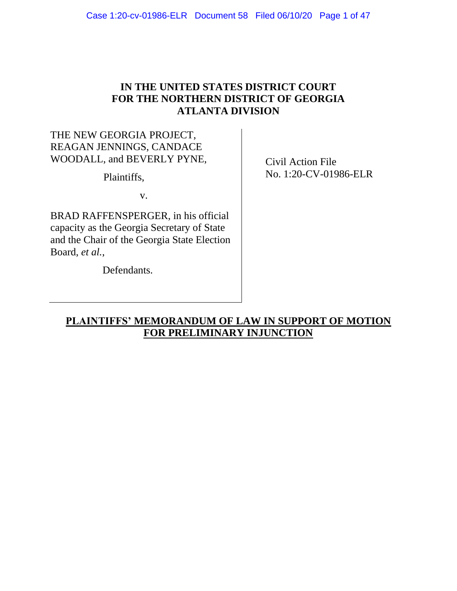# **IN THE UNITED STATES DISTRICT COURT FOR THE NORTHERN DISTRICT OF GEORGIA ATLANTA DIVISION**

# THE NEW GEORGIA PROJECT, REAGAN JENNINGS, CANDACE WOODALL, and BEVERLY PYNE,

Plaintiffs,

v.

BRAD RAFFENSPERGER, in his official capacity as the Georgia Secretary of State and the Chair of the Georgia State Election Board, *et al.*,

Defendants.

Civil Action File No. 1:20-CV-01986-ELR

# **PLAINTIFFS' MEMORANDUM OF LAW IN SUPPORT OF MOTION FOR PRELIMINARY INJUNCTION**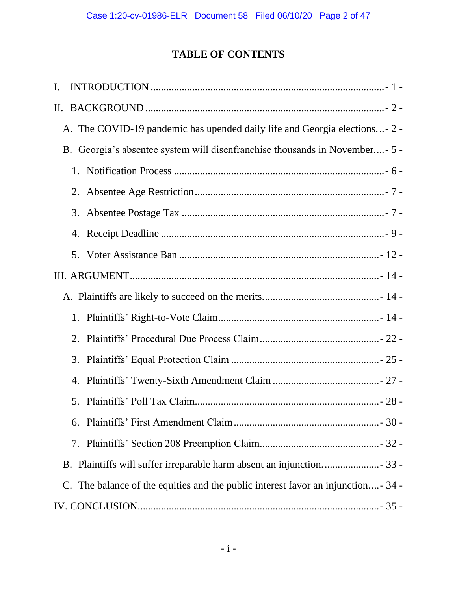# **TABLE OF CONTENTS**

| I.                                                                               |  |
|----------------------------------------------------------------------------------|--|
| $\prod$ .                                                                        |  |
| A. The COVID-19 pandemic has upended daily life and Georgia elections- 2 -       |  |
| B. Georgia's absentee system will disenfranchise thousands in November- 5 -      |  |
|                                                                                  |  |
| 2.                                                                               |  |
|                                                                                  |  |
|                                                                                  |  |
|                                                                                  |  |
|                                                                                  |  |
|                                                                                  |  |
|                                                                                  |  |
|                                                                                  |  |
| 3.                                                                               |  |
| 4.                                                                               |  |
| 5.                                                                               |  |
|                                                                                  |  |
|                                                                                  |  |
|                                                                                  |  |
| C. The balance of the equities and the public interest favor an injunction- 34 - |  |
|                                                                                  |  |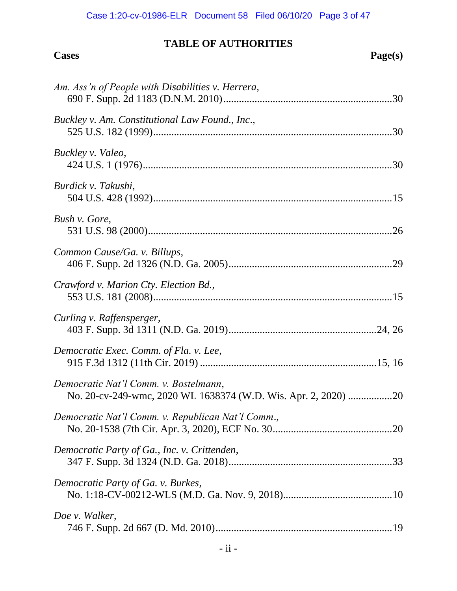# Case 1:20-cv-01986-ELR Document 58 Filed 06/10/20 Page 3 of 47

# **TABLE OF AUTHORITIES Cases Page(s)**

| Am. Ass'n of People with Disabilities v. Herrera,                                                       |
|---------------------------------------------------------------------------------------------------------|
| Buckley v. Am. Constitutional Law Found., Inc.,                                                         |
| Buckley v. Valeo,                                                                                       |
| Burdick v. Takushi,                                                                                     |
| Bush v. Gore,                                                                                           |
| Common Cause/Ga. v. Billups,                                                                            |
| Crawford v. Marion Cty. Election Bd.,                                                                   |
| Curling v. Raffensperger,                                                                               |
| Democratic Exec. Comm. of Fla. v. Lee,                                                                  |
| Democratic Nat'l Comm. v. Bostelmann,<br>No. 20-cv-249-wmc, 2020 WL 1638374 (W.D. Wis. Apr. 2, 2020) 20 |
| Democratic Nat'l Comm. v. Republican Nat'l Comm.,                                                       |
| Democratic Party of Ga., Inc. v. Crittenden,                                                            |
| Democratic Party of Ga. v. Burkes,                                                                      |
| Doe v. Walker,                                                                                          |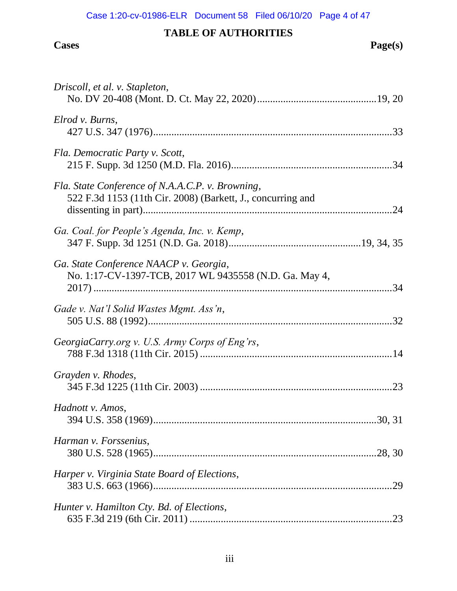# Case 1:20-cv-01986-ELR Document 58 Filed 06/10/20 Page 4 of 47

# **TABLE OF AUTHORITIES**

#### **Cases Page(s)**

| Driscoll, et al. v. Stapleton,                                                                                  |  |
|-----------------------------------------------------------------------------------------------------------------|--|
| Elrod v. Burns,                                                                                                 |  |
| Fla. Democratic Party v. Scott,                                                                                 |  |
| Fla. State Conference of N.A.A.C.P. v. Browning,<br>522 F.3d 1153 (11th Cir. 2008) (Barkett, J., concurring and |  |
| Ga. Coal. for People's Agenda, Inc. v. Kemp,                                                                    |  |
| Ga. State Conference NAACP v. Georgia,<br>No. 1:17-CV-1397-TCB, 2017 WL 9435558 (N.D. Ga. May 4,                |  |
| Gade v. Nat'l Solid Wastes Mgmt. Ass'n,                                                                         |  |
| GeorgiaCarry.org v. U.S. Army Corps of Eng'rs,                                                                  |  |
| Grayden v. Rhodes,                                                                                              |  |
| Hadnott v. Amos,                                                                                                |  |
| Harman v. Forssenius,                                                                                           |  |
| Harper v. Virginia State Board of Elections,                                                                    |  |
| Hunter v. Hamilton Cty. Bd. of Elections,                                                                       |  |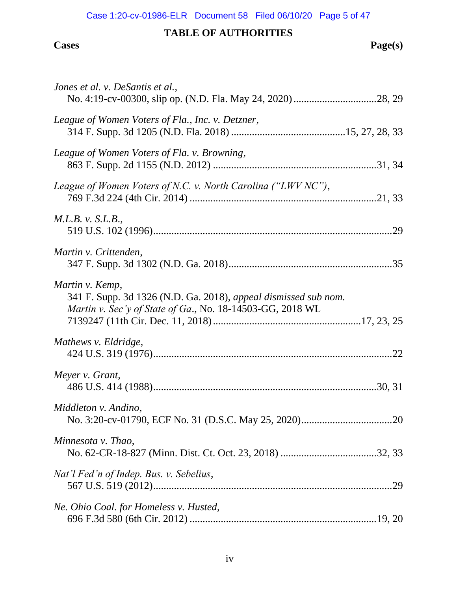## Case 1:20-cv-01986-ELR Document 58 Filed 06/10/20 Page 5 of 47

# **TABLE OF AUTHORITIES**

#### **Cases Page(s)**

| Jones et al. v. DeSantis et al.,                                                                                                                |  |
|-------------------------------------------------------------------------------------------------------------------------------------------------|--|
| League of Women Voters of Fla., Inc. v. Detzner,                                                                                                |  |
| League of Women Voters of Fla. v. Browning,                                                                                                     |  |
| League of Women Voters of N.C. v. North Carolina ("LWV NC"),                                                                                    |  |
| <i>M.L.B. v. S.L.B.</i> ,                                                                                                                       |  |
| Martin v. Crittenden,                                                                                                                           |  |
| Martin v. Kemp,<br>341 F. Supp. 3d 1326 (N.D. Ga. 2018), appeal dismissed sub nom.<br>Martin v. Sec'y of State of Ga., No. 18-14503-GG, 2018 WL |  |
| Mathews v. Eldridge,                                                                                                                            |  |
| Meyer v. Grant,                                                                                                                                 |  |
| Middleton v. Andino,                                                                                                                            |  |
| Minnesota v. Thao,                                                                                                                              |  |
| Nat'l Fed'n of Indep. Bus. v. Sebelius,                                                                                                         |  |
| Ne. Ohio Coal. for Homeless v. Husted,                                                                                                          |  |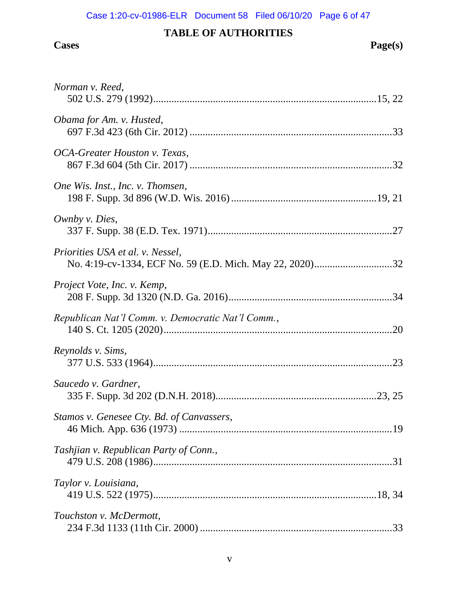| Norman v. Reed,                                   |
|---------------------------------------------------|
| Obama for Am. v. Husted,                          |
| OCA-Greater Houston v. Texas,                     |
| One Wis. Inst., Inc. v. Thomsen,                  |
| Ownby v. Dies,                                    |
| Priorities USA et al. v. Nessel,                  |
| Project Vote, Inc. v. Kemp,                       |
| Republican Nat'l Comm. v. Democratic Nat'l Comm., |
| Reynolds v. Sims,                                 |
| Saucedo v. Gardner,                               |
| Stamos v. Genesee Cty. Bd. of Canvassers,         |
| Tashjian v. Republican Party of Conn.,            |
| Taylor v. Louisiana,                              |
| Touchston v. McDermott,                           |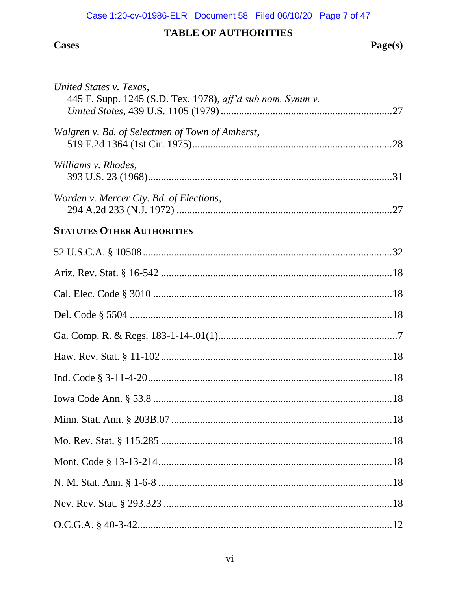# **Cases**

# Page(s)

| United States v. Texas,<br>445 F. Supp. 1245 (S.D. Tex. 1978), aff'd sub nom. Symm v. |
|---------------------------------------------------------------------------------------|
| Walgren v. Bd. of Selectmen of Town of Amherst,                                       |
| Williams v. Rhodes,                                                                   |
| Worden v. Mercer Cty. Bd. of Elections,                                               |
| <b>STATUTES OTHER AUTHORITIES</b>                                                     |
|                                                                                       |
|                                                                                       |
|                                                                                       |
|                                                                                       |
|                                                                                       |
|                                                                                       |
|                                                                                       |
|                                                                                       |
|                                                                                       |
|                                                                                       |
|                                                                                       |
|                                                                                       |
|                                                                                       |
|                                                                                       |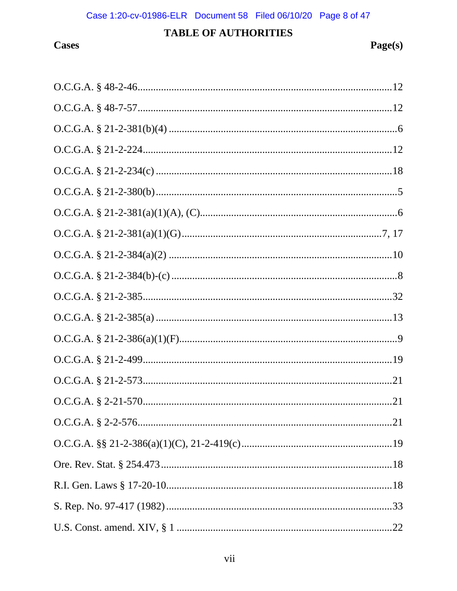# **Cases**

| $O.C.G.A. § 21-2-234(c) \dots 18$  |
|------------------------------------|
|                                    |
|                                    |
|                                    |
|                                    |
| $O.C.G.A. § 21-2-384(b)-(c) \dots$ |
|                                    |
|                                    |
|                                    |
|                                    |
|                                    |
|                                    |
|                                    |
|                                    |
|                                    |
|                                    |
|                                    |
|                                    |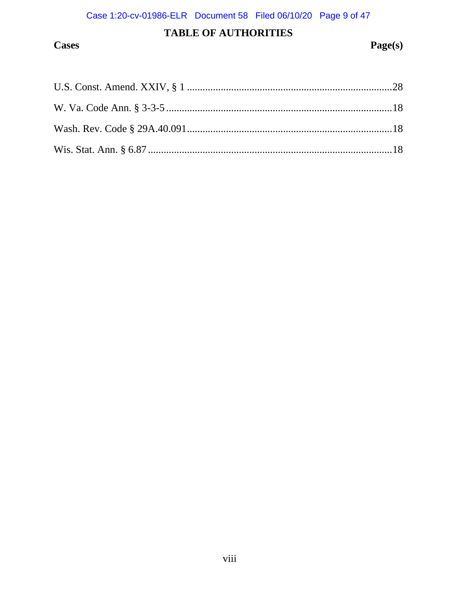# **Cases**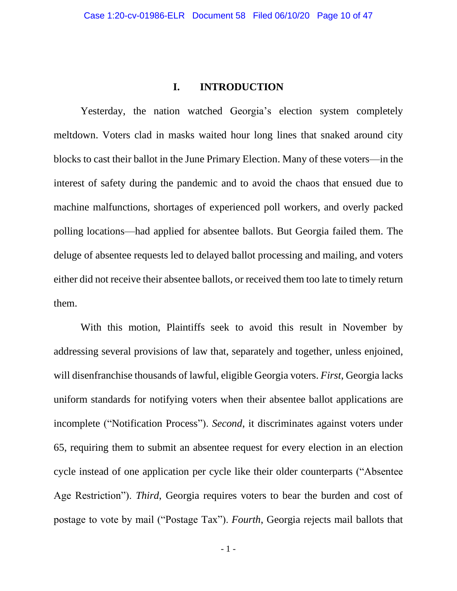### **I. INTRODUCTION**

<span id="page-9-0"></span>Yesterday, the nation watched Georgia's election system completely meltdown. Voters clad in masks waited hour long lines that snaked around city blocks to cast their ballot in the June Primary Election. Many of these voters—in the interest of safety during the pandemic and to avoid the chaos that ensued due to machine malfunctions, shortages of experienced poll workers, and overly packed polling locations—had applied for absentee ballots. But Georgia failed them. The deluge of absentee requests led to delayed ballot processing and mailing, and voters either did not receive their absentee ballots, or received them too late to timely return them.

With this motion, Plaintiffs seek to avoid this result in November by addressing several provisions of law that, separately and together, unless enjoined, will disenfranchise thousands of lawful, eligible Georgia voters. *First*, Georgia lacks uniform standards for notifying voters when their absentee ballot applications are incomplete ("Notification Process"). *Second*, it discriminates against voters under 65, requiring them to submit an absentee request for every election in an election cycle instead of one application per cycle like their older counterparts ("Absentee Age Restriction"). *Third*, Georgia requires voters to bear the burden and cost of postage to vote by mail ("Postage Tax"). *Fourth*, Georgia rejects mail ballots that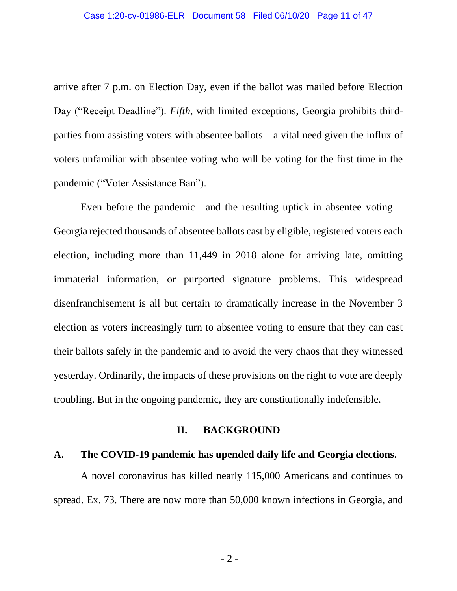arrive after 7 p.m. on Election Day, even if the ballot was mailed before Election Day ("Receipt Deadline"). *Fifth*, with limited exceptions, Georgia prohibits thirdparties from assisting voters with absentee ballots—a vital need given the influx of voters unfamiliar with absentee voting who will be voting for the first time in the pandemic ("Voter Assistance Ban").

Even before the pandemic—and the resulting uptick in absentee voting— Georgia rejected thousands of absentee ballots cast by eligible, registered voters each election, including more than 11,449 in 2018 alone for arriving late, omitting immaterial information, or purported signature problems. This widespread disenfranchisement is all but certain to dramatically increase in the November 3 election as voters increasingly turn to absentee voting to ensure that they can cast their ballots safely in the pandemic and to avoid the very chaos that they witnessed yesterday. Ordinarily, the impacts of these provisions on the right to vote are deeply troubling. But in the ongoing pandemic, they are constitutionally indefensible.

#### **II. BACKGROUND**

### <span id="page-10-1"></span><span id="page-10-0"></span>**A. The COVID-19 pandemic has upended daily life and Georgia elections.**

A novel coronavirus has killed nearly 115,000 Americans and continues to spread. Ex. 73. There are now more than 50,000 known infections in Georgia, and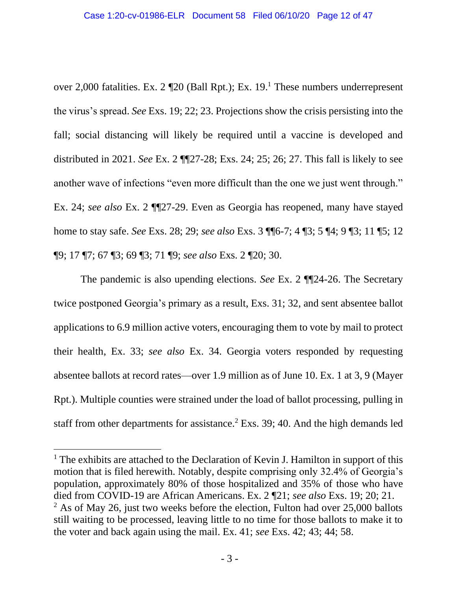over 2,000 fatalities. Ex. 2 ¶20 (Ball Rpt.); Ex. 19.<sup>1</sup> These numbers underrepresent the virus's spread. *See* Exs. 19; 22; 23. Projections show the crisis persisting into the fall; social distancing will likely be required until a vaccine is developed and distributed in 2021. *See* Ex. 2 ¶¶27-28; Exs. 24; 25; 26; 27. This fall is likely to see another wave of infections "even more difficult than the one we just went through." Ex. 24; *see also* Ex. 2 ¶¶27-29. Even as Georgia has reopened, many have stayed home to stay safe. *See* Exs. 28; 29; *see also* Exs. 3 ¶¶6-7; 4 ¶3; 5 ¶4; 9 ¶3; 11 ¶5; 12 ¶9; 17 ¶7; 67 ¶3; 69 ¶3; 71 ¶9; *see also* Exs. 2 ¶20; 30.

The pandemic is also upending elections. *See* Ex. 2 ¶¶24-26. The Secretary twice postponed Georgia's primary as a result, Exs. 31; 32, and sent absentee ballot applications to 6.9 million active voters, encouraging them to vote by mail to protect their health, Ex. 33; *see also* Ex. 34. Georgia voters responded by requesting absentee ballots at record rates—over 1.9 million as of June 10. Ex. 1 at 3, 9 (Mayer Rpt.). Multiple counties were strained under the load of ballot processing, pulling in staff from other departments for assistance.<sup>2</sup> Exs. 39; 40. And the high demands led

 $<sup>1</sup>$  The exhibits are attached to the Declaration of Kevin J. Hamilton in support of this</sup> motion that is filed herewith. Notably, despite comprising only 32.4% of Georgia's population, approximately 80% of those hospitalized and 35% of those who have died from COVID-19 are African Americans. Ex. 2 ¶21; *see also* Exs. 19; 20; 21.  $2$  As of May 26, just two weeks before the election, Fulton had over 25,000 ballots still waiting to be processed, leaving little to no time for those ballots to make it to the voter and back again using the mail. Ex. 41; *see* Exs. 42; 43; 44; 58.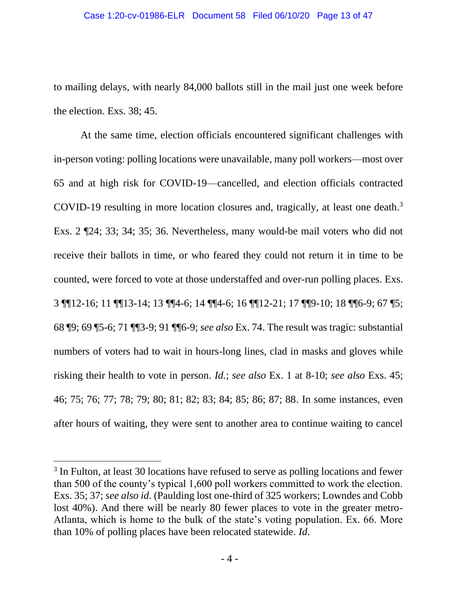to mailing delays, with nearly 84,000 ballots still in the mail just one week before the election. Exs. 38; 45.

At the same time, election officials encountered significant challenges with in-person voting: polling locations were unavailable, many poll workers—most over 65 and at high risk for COVID-19⸺cancelled, and election officials contracted COVID-19 resulting in more location closures and, tragically, at least one death.<sup>3</sup> Exs. 2 ¶24; 33; 34; 35; 36. Nevertheless, many would-be mail voters who did not receive their ballots in time, or who feared they could not return it in time to be counted, were forced to vote at those understaffed and over-run polling places. Exs. 3 ¶¶12-16; 11 ¶¶13-14; 13 ¶¶4-6; 14 ¶¶4-6; 16 ¶¶12-21; 17 ¶¶9-10; 18 ¶¶6-9; 67 ¶5; 68 ¶9; 69 ¶5-6; 71 ¶¶3-9; 91 ¶¶6-9; *see also* Ex. 74. The result was tragic: substantial numbers of voters had to wait in hours-long lines, clad in masks and gloves while risking their health to vote in person. *Id.*; *see also* Ex. 1 at 8-10; *see also* Exs. 45; 46; 75; 76; 77; 78; 79; 80; 81; 82; 83; 84; 85; 86; 87; 88. In some instances, even after hours of waiting, they were sent to another area to continue waiting to cancel

 $3$  In Fulton, at least 30 locations have refused to serve as polling locations and fewer than 500 of the county's typical 1,600 poll workers committed to work the election. Exs. 35; 37; *see also id*. (Paulding lost one-third of 325 workers; Lowndes and Cobb lost 40%). And there will be nearly 80 fewer places to vote in the greater metro-Atlanta, which is home to the bulk of the state's voting population. Ex. 66. More than 10% of polling places have been relocated statewide. *Id*.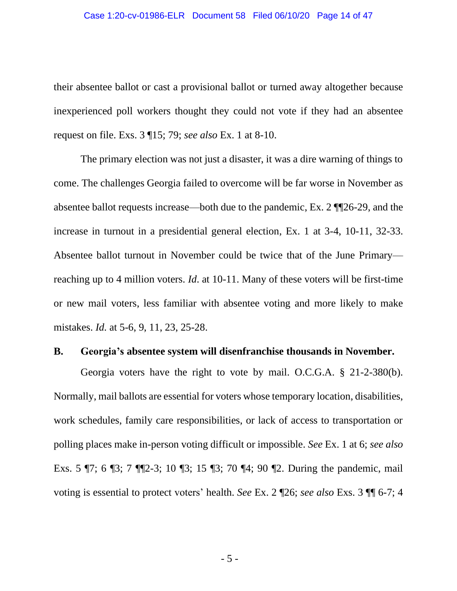#### Case 1:20-cv-01986-ELR Document 58 Filed 06/10/20 Page 14 of 47

their absentee ballot or cast a provisional ballot or turned away altogether because inexperienced poll workers thought they could not vote if they had an absentee request on file. Exs. 3 ¶15; 79; *see also* Ex. 1 at 8-10.

The primary election was not just a disaster, it was a dire warning of things to come. The challenges Georgia failed to overcome will be far worse in November as absentee ballot requests increase—both due to the pandemic, Ex. 2 ¶¶26-29, and the increase in turnout in a presidential general election, Ex. 1 at 3-4, 10-11, 32-33. Absentee ballot turnout in November could be twice that of the June Primary reaching up to 4 million voters. *Id*. at 10-11. Many of these voters will be first-time or new mail voters, less familiar with absentee voting and more likely to make mistakes. *Id.* at 5-6, 9, 11, 23, 25-28.

#### <span id="page-13-1"></span><span id="page-13-0"></span>**B. Georgia's absentee system will disenfranchise thousands in November.**

Georgia voters have the right to vote by mail. O.C.G.A. § 21-2-380(b). Normally, mail ballots are essential for voters whose temporary location, disabilities, work schedules, family care responsibilities, or lack of access to transportation or polling places make in-person voting difficult or impossible. *See* Ex. 1 at 6; *see also* Exs. 5 ¶7; 6 ¶3; 7 ¶¶2-3; 10 ¶3; 15 ¶3; 70 ¶4; 90 ¶2. During the pandemic, mail voting is essential to protect voters' health. *See* Ex. 2 ¶26; *see also* Exs. 3 ¶¶ 6-7; 4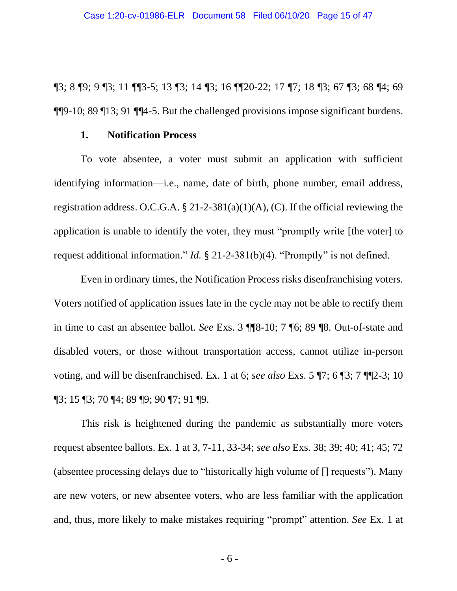¶3; 8 ¶9; 9 ¶3; 11 ¶¶3-5; 13 ¶3; 14 ¶3; 16 ¶¶20-22; 17 ¶7; 18 ¶3; 67 ¶3; 68 ¶4; 69 ¶¶9-10; 89 ¶13; 91 ¶¶4-5. But the challenged provisions impose significant burdens.

#### <span id="page-14-2"></span>**1. Notification Process**

<span id="page-14-0"></span>To vote absentee, a voter must submit an application with sufficient identifying information—i.e., name, date of birth, phone number, email address, registration address. O.C.G.A.  $\S 21-2-381(a)(1)(A)$ , (C). If the official reviewing the application is unable to identify the voter, they must "promptly write [the voter] to request additional information." *Id.* § 21-2-381(b)(4). "Promptly" is not defined.

<span id="page-14-1"></span>Even in ordinary times, the Notification Process risks disenfranchising voters. Voters notified of application issues late in the cycle may not be able to rectify them in time to cast an absentee ballot. *See* Exs. 3 ¶¶8-10; 7 ¶6; 89 ¶8. Out-of-state and disabled voters, or those without transportation access, cannot utilize in-person voting, and will be disenfranchised. Ex. 1 at 6; *see also* Exs. 5 ¶7; 6 ¶3; 7 ¶¶2-3; 10 ¶3; 15 ¶3; 70 ¶4; 89 ¶9; 90 ¶7; 91 ¶9.

This risk is heightened during the pandemic as substantially more voters request absentee ballots. Ex. 1 at 3, 7-11, 33-34; *see also* Exs. 38; 39; 40; 41; 45; 72 (absentee processing delays due to "historically high volume of [] requests"). Many are new voters, or new absentee voters, who are less familiar with the application and, thus, more likely to make mistakes requiring "prompt" attention. *See* Ex. 1 at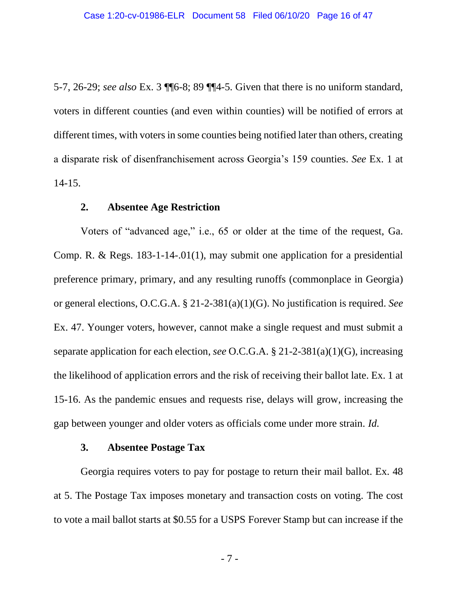5-7, 26-29; *see also* Ex. 3 ¶¶6-8; 89 ¶¶4-5. Given that there is no uniform standard, voters in different counties (and even within counties) will be notified of errors at different times, with voters in some counties being notified later than others, creating a disparate risk of disenfranchisement across Georgia's 159 counties. *See* Ex. 1 at 14-15.

### <span id="page-15-3"></span><span id="page-15-2"></span>**2. Absentee Age Restriction**

<span id="page-15-0"></span>Voters of "advanced age," i.e., 65 or older at the time of the request, Ga. Comp. R. & Regs. 183-1-14-.01(1), may submit one application for a presidential preference primary, primary, and any resulting runoffs (commonplace in Georgia) or general elections, O.C.G.A. § 21-2-381(a)(1)(G). No justification is required. *See*  Ex. 47. Younger voters, however, cannot make a single request and must submit a separate application for each election, *see* O.C.G.A. § 21-2-381(a)(1)(G), increasing the likelihood of application errors and the risk of receiving their ballot late. Ex. 1 at 15-16. As the pandemic ensues and requests rise, delays will grow, increasing the gap between younger and older voters as officials come under more strain. *Id.*

#### **3. Absentee Postage Tax**

<span id="page-15-1"></span>Georgia requires voters to pay for postage to return their mail ballot. Ex. 48 at 5. The Postage Tax imposes monetary and transaction costs on voting. The cost to vote a mail ballot starts at \$0.55 for a USPS Forever Stamp but can increase if the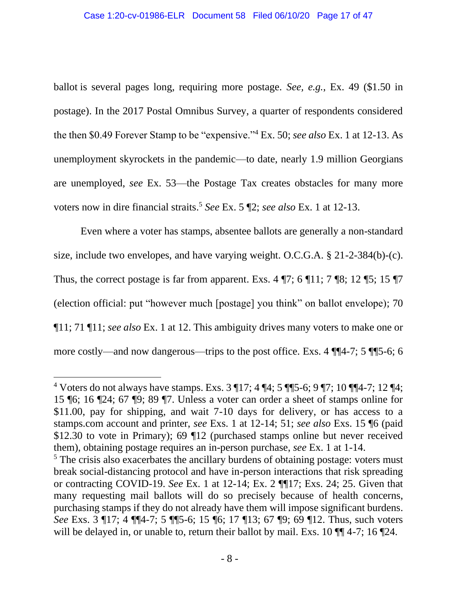ballot is several pages long, requiring more postage. *See, e.g.*, Ex. 49 (\$1.50 in postage). In the 2017 Postal Omnibus Survey, a quarter of respondents considered the then \$0.49 Forever Stamp to be "expensive."<sup>4</sup> Ex. 50; *see also* Ex. 1 at 12-13. As unemployment skyrockets in the pandemic—to date, nearly 1.9 million Georgians are unemployed, *see* Ex. 53⸺the Postage Tax creates obstacles for many more voters now in dire financial straits. <sup>5</sup> *See* Ex. 5 ¶2; *see also* Ex. 1 at 12-13.

<span id="page-16-0"></span>Even where a voter has stamps, absentee ballots are generally a non-standard size, include two envelopes, and have varying weight. O.C.G.A. § 21-2-384(b)-(c). Thus, the correct postage is far from apparent. Exs. 4  $\P$ 7; 6  $\P$ 11; 7  $\P$ 8; 12  $\P$ 5; 15  $\P$ 7 (election official: put "however much [postage] you think" on ballot envelope); 70 ¶11; 71 ¶11; *see also* Ex. 1 at 12. This ambiguity drives many voters to make one or more costly—and now dangerous—trips to the post office. Exs. 4 ¶¶4-7; 5 ¶¶5-6; 6

<sup>&</sup>lt;sup>4</sup> Voters do not always have stamps. Exs.  $3 \text{ } 17$ ;  $4 \text{ } 4$ ;  $5 \text{ } 15$   $-6$ ;  $9 \text{ } 7$ ;  $10 \text{ } 11$  $-7$ ;  $12 \text{ } 14$ ; 15 ¶6; 16 ¶24; 67 ¶9; 89 ¶7. Unless a voter can order a sheet of stamps online for \$11.00, pay for shipping, and wait 7-10 days for delivery, or has access to a stamps.com account and printer, *see* Exs. 1 at 12-14; 51; *see also* Exs. 15 ¶6 (paid \$12.30 to vote in Primary); 69 ¶12 (purchased stamps online but never received them), obtaining postage requires an in-person purchase, *see* Ex. 1 at 1-14.

<sup>&</sup>lt;sup>5</sup> The crisis also exacerbates the ancillary burdens of obtaining postage: voters must break social-distancing protocol and have in-person interactions that risk spreading or contracting COVID-19. *See* Ex. 1 at 12-14; Ex. 2 ¶¶17; Exs. 24; 25. Given that many requesting mail ballots will do so precisely because of health concerns, purchasing stamps if they do not already have them will impose significant burdens. *See* Exs. 3 ¶17; 4 ¶¶4-7; 5 ¶¶5-6; 15 ¶6; 17 ¶13; 67 ¶9; 69 ¶12. Thus, such voters will be delayed in, or unable to, return their ballot by mail. Exs. 10  $\P$  4-7; 16  $\P$ 24.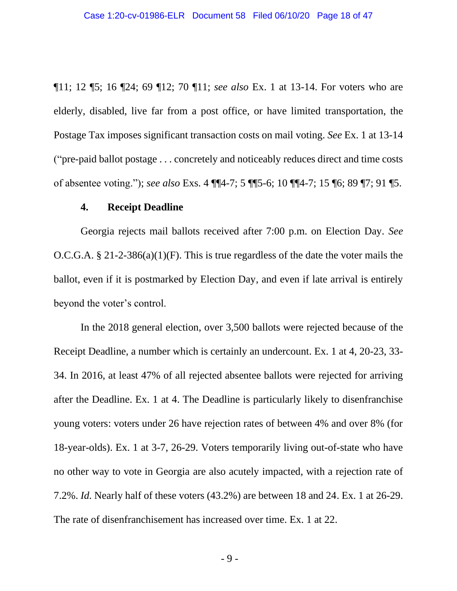¶11; 12 ¶5; 16 ¶24; 69 ¶12; 70 ¶11; *see also* Ex. 1 at 13-14. For voters who are elderly, disabled, live far from a post office, or have limited transportation, the Postage Tax imposes significant transaction costs on mail voting. *See* Ex. 1 at 13-14 ("pre-paid ballot postage . . . concretely and noticeably reduces direct and time costs of absentee voting."); *see also* Exs. 4 ¶¶4-7; 5 ¶¶5-6; 10 ¶¶4-7; 15 ¶6; 89 ¶7; 91 ¶5.

#### **4. Receipt Deadline**

<span id="page-17-1"></span><span id="page-17-0"></span>Georgia rejects mail ballots received after 7:00 p.m. on Election Day. *See* O.C.G.A. § 21-2-386(a)(1)(F). This is true regardless of the date the voter mails the ballot, even if it is postmarked by Election Day, and even if late arrival is entirely beyond the voter's control.

In the 2018 general election, over 3,500 ballots were rejected because of the Receipt Deadline, a number which is certainly an undercount. Ex. 1 at 4, 20-23, 33- 34. In 2016, at least 47% of all rejected absentee ballots were rejected for arriving after the Deadline. Ex. 1 at 4. The Deadline is particularly likely to disenfranchise young voters: voters under 26 have rejection rates of between 4% and over 8% (for 18-year-olds). Ex. 1 at 3-7, 26-29. Voters temporarily living out-of-state who have no other way to vote in Georgia are also acutely impacted, with a rejection rate of 7.2%. *Id.* Nearly half of these voters (43.2%) are between 18 and 24. Ex. 1 at 26-29. The rate of disenfranchisement has increased over time. Ex. 1 at 22.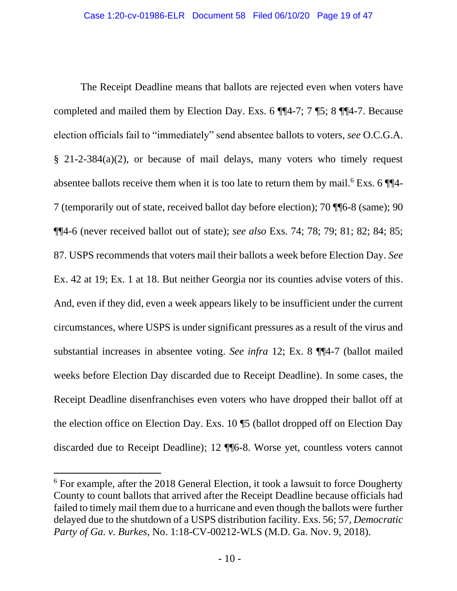<span id="page-18-1"></span>The Receipt Deadline means that ballots are rejected even when voters have completed and mailed them by Election Day. Exs. 6 ¶¶4-7; 7 ¶5; 8 ¶¶4-7. Because election officials fail to "immediately" send absentee ballots to voters, *see* O.C.G.A. § 21-2-384(a)(2), or because of mail delays, many voters who timely request absentee ballots receive them when it is too late to return them by mail.<sup>6</sup> Exs. 6  $\P$ 7 (temporarily out of state, received ballot day before election); 70 ¶¶6-8 (same); 90 ¶¶4-6 (never received ballot out of state); *see also* Exs. 74; 78; 79; 81; 82; 84; 85; 87. USPS recommends that voters mail their ballots a week before Election Day. *See*  Ex. 42 at 19; Ex. 1 at 18. But neither Georgia nor its counties advise voters of this. And, even if they did, even a week appears likely to be insufficient under the current circumstances, where USPS is under significant pressures as a result of the virus and substantial increases in absentee voting. *See infra* 12; Ex. 8 ¶¶4-7 (ballot mailed weeks before Election Day discarded due to Receipt Deadline). In some cases, the Receipt Deadline disenfranchises even voters who have dropped their ballot off at the election office on Election Day. Exs. 10 ¶5 (ballot dropped off on Election Day discarded due to Receipt Deadline); 12 ¶¶6-8. Worse yet, countless voters cannot

<span id="page-18-0"></span><sup>&</sup>lt;sup>6</sup> For example, after the 2018 General Election, it took a lawsuit to force Dougherty County to count ballots that arrived after the Receipt Deadline because officials had failed to timely mail them due to a hurricane and even though the ballots were further delayed due to the shutdown of a USPS distribution facility. Exs. 56; 57, *Democratic Party of Ga. v. Burkes*, No. 1:18-CV-00212-WLS (M.D. Ga. Nov. 9, 2018).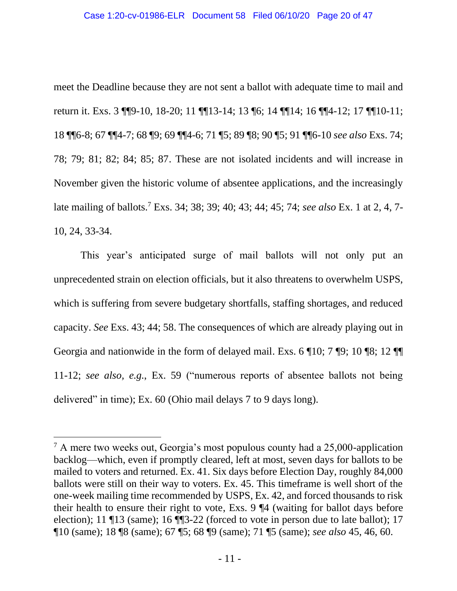meet the Deadline because they are not sent a ballot with adequate time to mail and return it. Exs. 3 ¶¶9-10, 18-20; 11 ¶¶13-14; 13 ¶6; 14 ¶¶14; 16 ¶¶4-12; 17 ¶¶10-11; 18 ¶¶6-8; 67 ¶¶4-7; 68 ¶9; 69 ¶¶4-6; 71 ¶5; 89 ¶8; 90 ¶5; 91 ¶¶6-10 *see also* Exs. 74; 78; 79; 81; 82; 84; 85; 87. These are not isolated incidents and will increase in November given the historic volume of absentee applications, and the increasingly late mailing of ballots. <sup>7</sup> Exs. 34; 38; 39; 40; 43; 44; 45; 74; *see also* Ex. 1 at 2, 4, 7- 10, 24, 33-34.

This year's anticipated surge of mail ballots will not only put an unprecedented strain on election officials, but it also threatens to overwhelm USPS, which is suffering from severe budgetary shortfalls, staffing shortages, and reduced capacity. *See* Exs. 43; 44; 58. The consequences of which are already playing out in Georgia and nationwide in the form of delayed mail. Exs. 6 ¶10; 7 ¶9; 10 ¶8; 12 ¶¶ 11-12; *see also, e.g.*, Ex. 59 ("numerous reports of absentee ballots not being delivered" in time); Ex. 60 (Ohio mail delays 7 to 9 days long).

<sup>7</sup> A mere two weeks out, Georgia's most populous county had a 25,000-application backlog—which, even if promptly cleared, left at most, seven days for ballots to be mailed to voters and returned. Ex. 41. Six days before Election Day, roughly 84,000 ballots were still on their way to voters. Ex. 45. This timeframe is well short of the one-week mailing time recommended by USPS, Ex. 42, and forced thousands to risk their health to ensure their right to vote, Exs. 9 ¶4 (waiting for ballot days before election); 11 ¶13 (same); 16 ¶¶3-22 (forced to vote in person due to late ballot); 17 ¶10 (same); 18 ¶8 (same); 67 ¶5; 68 ¶9 (same); 71 ¶5 (same); *see also* 45, 46, 60.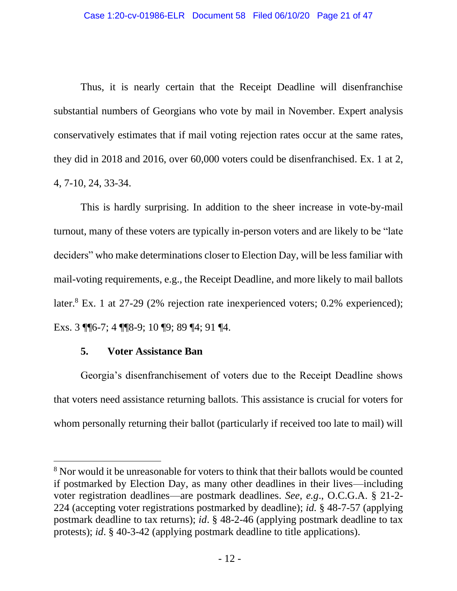Thus, it is nearly certain that the Receipt Deadline will disenfranchise substantial numbers of Georgians who vote by mail in November. Expert analysis conservatively estimates that if mail voting rejection rates occur at the same rates, they did in 2018 and 2016, over 60,000 voters could be disenfranchised. Ex. 1 at 2, 4, 7-10, 24, 33-34.

This is hardly surprising. In addition to the sheer increase in vote-by-mail turnout, many of these voters are typically in-person voters and are likely to be "late deciders" who make determinations closer to Election Day, will be less familiar with mail-voting requirements, e.g., the Receipt Deadline, and more likely to mail ballots later.<sup>8</sup> Ex. 1 at 27-29 (2% rejection rate inexperienced voters; 0.2% experienced); Exs. 3 ¶¶6-7; 4 ¶¶8-9; 10 ¶9; 89 ¶4; 91 ¶4.

# **5. Voter Assistance Ban**

<span id="page-20-0"></span>Georgia's disenfranchisement of voters due to the Receipt Deadline shows that voters need assistance returning ballots. This assistance is crucial for voters for whom personally returning their ballot (particularly if received too late to mail) will

<span id="page-20-4"></span><span id="page-20-3"></span><span id="page-20-2"></span><span id="page-20-1"></span><sup>&</sup>lt;sup>8</sup> Nor would it be unreasonable for voters to think that their ballots would be counted if postmarked by Election Day, as many other deadlines in their lives—including voter registration deadlines—are postmark deadlines. *See, e.g*., O.C.G.A. § 21-2- 224 (accepting voter registrations postmarked by deadline); *id.* § 48-7-57 (applying postmark deadline to tax returns); *id*. § 48-2-46 (applying postmark deadline to tax protests); *id*. § 40-3-42 (applying postmark deadline to title applications).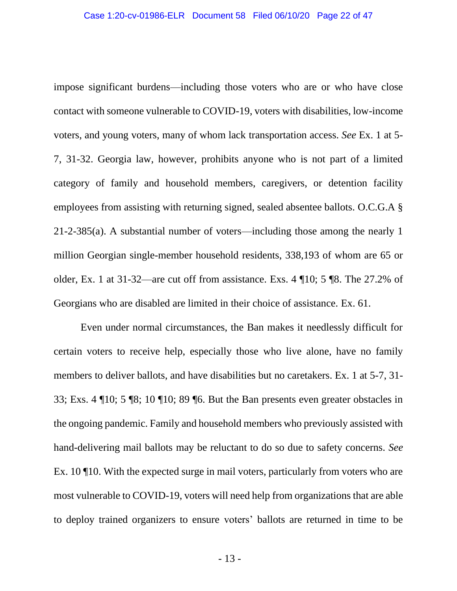<span id="page-21-0"></span>impose significant burdens—including those voters who are or who have close contact with someone vulnerable to COVID-19, voters with disabilities, low-income voters, and young voters, many of whom lack transportation access. *See* Ex. 1 at 5- 7, 31-32. Georgia law, however, prohibits anyone who is not part of a limited category of family and household members, caregivers, or detention facility employees from assisting with returning signed, sealed absentee ballots. O.C.G.A § 21-2-385(a). A substantial number of voters—including those among the nearly 1 million Georgian single-member household residents, 338,193 of whom are 65 or older, Ex. 1 at 31-32—are cut off from assistance. Exs. 4 ¶10; 5 ¶8. The 27.2% of Georgians who are disabled are limited in their choice of assistance. Ex. 61.

Even under normal circumstances, the Ban makes it needlessly difficult for certain voters to receive help, especially those who live alone, have no family members to deliver ballots, and have disabilities but no caretakers. Ex. 1 at 5-7, 31- 33; Exs. 4 ¶10; 5 ¶8; 10 ¶10; 89 ¶6. But the Ban presents even greater obstacles in the ongoing pandemic. Family and household members who previously assisted with hand-delivering mail ballots may be reluctant to do so due to safety concerns. *See* Ex. 10 ¶10. With the expected surge in mail voters, particularly from voters who are most vulnerable to COVID-19, voters will need help from organizations that are able to deploy trained organizers to ensure voters' ballots are returned in time to be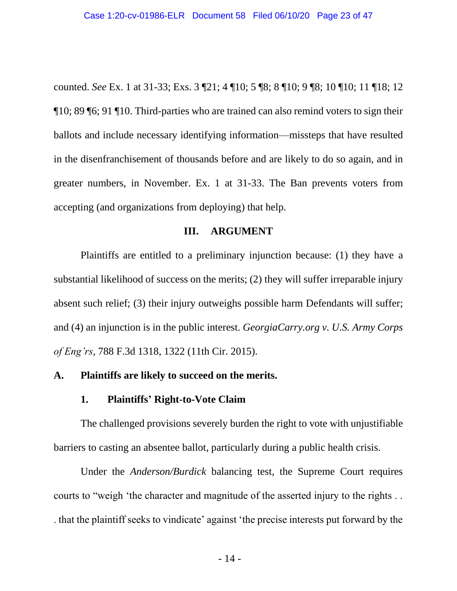counted. *See* Ex. 1 at 31-33; Exs. 3 ¶21; 4 ¶10; 5 ¶8; 8 ¶10; 9 ¶8; 10 ¶10; 11 ¶18; 12 ¶10; 89 ¶6; 91 ¶10. Third-parties who are trained can also remind voters to sign their ballots and include necessary identifying information—missteps that have resulted in the disenfranchisement of thousands before and are likely to do so again, and in greater numbers, in November. Ex. 1 at 31-33. The Ban prevents voters from accepting (and organizations from deploying) that help.

### <span id="page-22-3"></span>**III. ARGUMENT**

<span id="page-22-0"></span>Plaintiffs are entitled to a preliminary injunction because: (1) they have a substantial likelihood of success on the merits; (2) they will suffer irreparable injury absent such relief; (3) their injury outweighs possible harm Defendants will suffer; and (4) an injunction is in the public interest. *GeorgiaCarry.org v. U.S. Army Corps of Eng'rs*, 788 F.3d 1318, 1322 (11th Cir. 2015).

### <span id="page-22-2"></span><span id="page-22-1"></span>**A. Plaintiffs are likely to succeed on the merits.**

## **1. Plaintiffs' Right-to-Vote Claim**

The challenged provisions severely burden the right to vote with unjustifiable barriers to casting an absentee ballot, particularly during a public health crisis.

Under the *Anderson/Burdick* balancing test, the Supreme Court requires courts to "weigh 'the character and magnitude of the asserted injury to the rights . . . that the plaintiff seeks to vindicate' against 'the precise interests put forward by the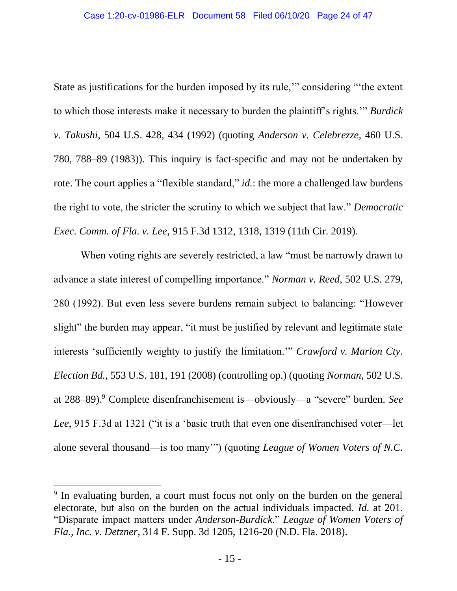<span id="page-23-0"></span>State as justifications for the burden imposed by its rule,'" considering "'the extent to which those interests make it necessary to burden the plaintiff's rights.'" *Burdick v. Takushi*, 504 U.S. 428, 434 (1992) (quoting *Anderson v. Celebrezze*, 460 U.S. 780, 788–89 (1983)). This inquiry is fact-specific and may not be undertaken by rote. The court applies a "flexible standard," *id.*: the more a challenged law burdens the right to vote, the stricter the scrutiny to which we subject that law." *Democratic Exec. Comm. of Fla. v. Lee*, 915 F.3d 1312, 1318, 1319 (11th Cir. 2019).

<span id="page-23-4"></span><span id="page-23-2"></span><span id="page-23-1"></span>When voting rights are severely restricted, a law "must be narrowly drawn to advance a state interest of compelling importance." *Norman v. Reed*, 502 U.S. 279, 280 (1992). But even less severe burdens remain subject to balancing: "However slight" the burden may appear, "it must be justified by relevant and legitimate state interests 'sufficiently weighty to justify the limitation.'" *Crawford v. Marion Cty. Election Bd.*, 553 U.S. 181, 191 (2008) (controlling op.) (quoting *Norman*, 502 U.S. at 288–89). <sup>9</sup> Complete disenfranchisement is—obviously—a "severe" burden. *See Lee*, 915 F.3d at 1321 ("it is a 'basic truth that even one disenfranchised voter—let alone several thousand—is too many'") (quoting *League of Women Voters of N.C.* 

<span id="page-23-3"></span><sup>&</sup>lt;sup>9</sup> In evaluating burden, a court must focus not only on the burden on the general electorate, but also on the burden on the actual individuals impacted. *Id.* at 201. "Disparate impact matters under *Anderson-Burdick*." *League of Women Voters of Fla., Inc. v. Detzner*, 314 F. Supp. 3d 1205, 1216-20 (N.D. Fla. 2018).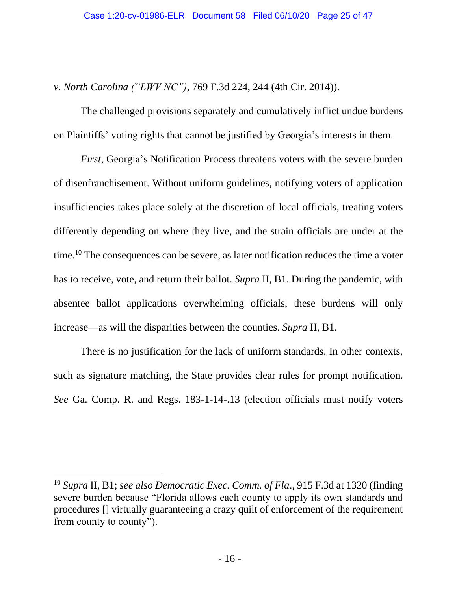*v. North Carolina ("LWV NC")*, 769 F.3d 224, 244 (4th Cir. 2014)).

The challenged provisions separately and cumulatively inflict undue burdens on Plaintiffs' voting rights that cannot be justified by Georgia's interests in them.

*First*, Georgia's Notification Process threatens voters with the severe burden of disenfranchisement. Without uniform guidelines, notifying voters of application insufficiencies takes place solely at the discretion of local officials, treating voters differently depending on where they live, and the strain officials are under at the time.<sup>10</sup> The consequences can be severe, as later notification reduces the time a voter has to receive, vote, and return their ballot. *Supra* II, B1. During the pandemic, with absentee ballot applications overwhelming officials, these burdens will only increase—as will the disparities between the counties. *Supra* II, B1.

There is no justification for the lack of uniform standards. In other contexts, such as signature matching, the State provides clear rules for prompt notification. *See* Ga. Comp. R. and Regs. 183-1-14-.13 (election officials must notify voters

<span id="page-24-0"></span><sup>10</sup> *Supra* II, B1; *see also Democratic Exec. Comm. of Fla*., 915 F.3d at 1320 (finding severe burden because "Florida allows each county to apply its own standards and procedures [] virtually guaranteeing a crazy quilt of enforcement of the requirement from county to county").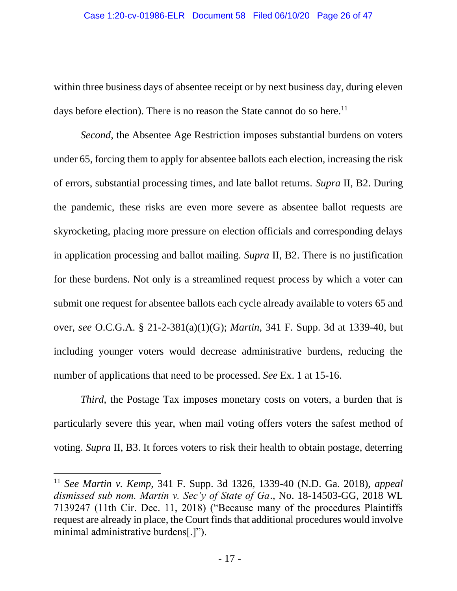within three business days of absentee receipt or by next business day, during eleven days before election). There is no reason the State cannot do so here.<sup>11</sup>

*Second*, the Absentee Age Restriction imposes substantial burdens on voters under 65, forcing them to apply for absentee ballots each election, increasing the risk of errors, substantial processing times, and late ballot returns. *Supra* II, B2. During the pandemic, these risks are even more severe as absentee ballot requests are skyrocketing, placing more pressure on election officials and corresponding delays in application processing and ballot mailing. *Supra* II, B2. There is no justification for these burdens. Not only is a streamlined request process by which a voter can submit one request for absentee ballots each cycle already available to voters 65 and over, *see* O.C.G.A. § 21-2-381(a)(1)(G); *Martin*, 341 F. Supp. 3d at 1339-40, but including younger voters would decrease administrative burdens, reducing the number of applications that need to be processed. *See* Ex. 1 at 15-16.

<span id="page-25-1"></span>*Third*, the Postage Tax imposes monetary costs on voters, a burden that is particularly severe this year, when mail voting offers voters the safest method of voting. *Supra* II, B3. It forces voters to risk their health to obtain postage, deterring

<span id="page-25-0"></span><sup>11</sup> *See Martin v. Kemp*, 341 F. Supp. 3d 1326, 1339-40 (N.D. Ga. 2018), *appeal dismissed sub nom. Martin v. Sec'y of State of Ga*., No. 18-14503-GG, 2018 WL 7139247 (11th Cir. Dec. 11, 2018) ("Because many of the procedures Plaintiffs request are already in place, the Court finds that additional procedures would involve minimal administrative burdens[.]").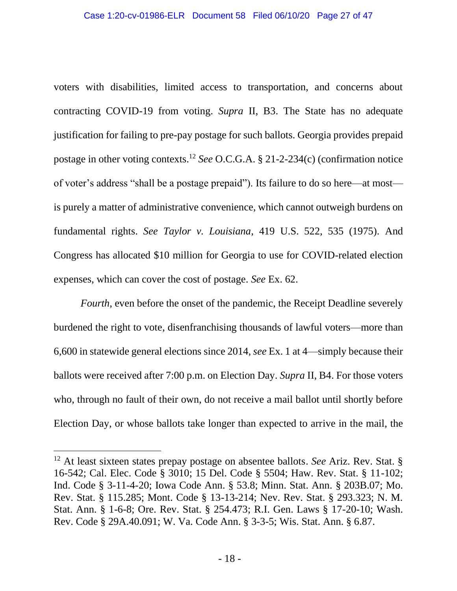<span id="page-26-12"></span>voters with disabilities, limited access to transportation, and concerns about contracting COVID-19 from voting. *Supra* II, B3. The State has no adequate justification for failing to pre-pay postage for such ballots. Georgia provides prepaid postage in other voting contexts.<sup>12</sup> *See* O.C.G.A. § 21-2-234(c) (confirmation notice of voter's address "shall be a postage prepaid"). Its failure to do so here—at most is purely a matter of administrative convenience, which cannot outweigh burdens on fundamental rights. *See Taylor v. Louisiana*, 419 U.S. 522, 535 (1975). And Congress has allocated \$10 million for Georgia to use for COVID-related election expenses, which can cover the cost of postage. *See* Ex. 62.

<span id="page-26-0"></span>*Fourth*, even before the onset of the pandemic, the Receipt Deadline severely burdened the right to vote, disenfranchising thousands of lawful voters—more than 6,600 in statewide general elections since 2014, *see* Ex. 1 at 4⸺simply because their ballots were received after 7:00 p.m. on Election Day. *Supra* II, B4. For those voters who, through no fault of their own, do not receive a mail ballot until shortly before Election Day, or whose ballots take longer than expected to arrive in the mail, the

<span id="page-26-17"></span><span id="page-26-16"></span><span id="page-26-15"></span><span id="page-26-14"></span><span id="page-26-13"></span><span id="page-26-11"></span><span id="page-26-10"></span><span id="page-26-9"></span><span id="page-26-8"></span><span id="page-26-7"></span><span id="page-26-6"></span><span id="page-26-5"></span><span id="page-26-4"></span><span id="page-26-3"></span><span id="page-26-2"></span><span id="page-26-1"></span><sup>12</sup> At least sixteen states prepay postage on absentee ballots. *See* Ariz. Rev. Stat. § 16-542; Cal. Elec. Code § 3010; 15 Del. Code § 5504; Haw. Rev. Stat. § 11-102; Ind. Code § 3-11-4-20; Iowa Code Ann. § 53.8; Minn. Stat. Ann. § 203B.07; Mo. Rev. Stat. § 115.285; Mont. Code § 13-13-214; Nev. Rev. Stat. § 293.323; N. M. Stat. Ann. § 1-6-8; Ore. Rev. Stat. § 254.473; R.I. Gen. Laws § 17-20-10; Wash. Rev. Code § 29A.40.091; W. Va. Code Ann. § 3-3-5; Wis. Stat. Ann. § 6.87.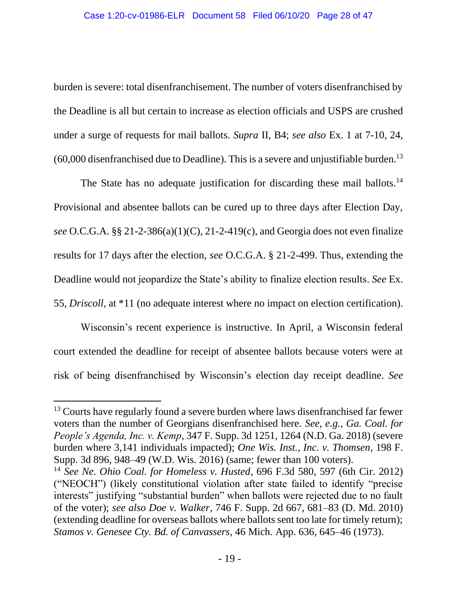burden is severe: total disenfranchisement. The number of voters disenfranchised by the Deadline is all but certain to increase as election officials and USPS are crushed under a surge of requests for mail ballots. *Supra* II, B4; *see also* Ex. 1 at 7-10, 24,  $(60,000)$  disenfranchised due to Deadline). This is a severe and unjustifiable burden.<sup>13</sup>

<span id="page-27-7"></span><span id="page-27-6"></span>The State has no adequate justification for discarding these mail ballots.<sup>14</sup> Provisional and absentee ballots can be cured up to three days after Election Day, *see* O.C.G.A. §§ 21-2-386(a)(1)(C), 21-2-419(c), and Georgia does not even finalize results for 17 days after the election, *see* O.C.G.A. § 21-2-499. Thus, extending the Deadline would not jeopardize the State's ability to finalize election results. *See* Ex. 55, *Driscoll*, at \*11 (no adequate interest where no impact on election certification).

<span id="page-27-1"></span>Wisconsin's recent experience is instructive. In April, a Wisconsin federal court extended the deadline for receipt of absentee ballots because voters were at risk of being disenfranchised by Wisconsin's election day receipt deadline. *See* 

<span id="page-27-2"></span><sup>&</sup>lt;sup>13</sup> Courts have regularly found a severe burden where laws disenfranchised far fewer voters than the number of Georgians disenfranchised here. *See, e.g.*, *Ga. Coal. for People's Agenda, Inc. v. Kemp*, 347 F. Supp. 3d 1251, 1264 (N.D. Ga. 2018) (severe burden where 3,141 individuals impacted); *One Wis. Inst., Inc. v. Thomsen*, 198 F. Supp. 3d 896, 948–49 (W.D. Wis. 2016) (same; fewer than 100 voters).

<span id="page-27-5"></span><span id="page-27-4"></span><span id="page-27-3"></span><span id="page-27-0"></span><sup>14</sup> *See Ne. Ohio Coal. for Homeless v. Husted*, 696 F.3d 580, 597 (6th Cir. 2012) ("NEOCH") (likely constitutional violation after state failed to identify "precise interests" justifying "substantial burden" when ballots were rejected due to no fault of the voter); *see also Doe v. Walker*, 746 F. Supp. 2d 667, 681–83 (D. Md. 2010) (extending deadline for overseas ballots where ballots sent too late for timely return); *Stamos v. Genesee Cty. Bd. of Canvassers*, 46 Mich. App. 636, 645–46 (1973).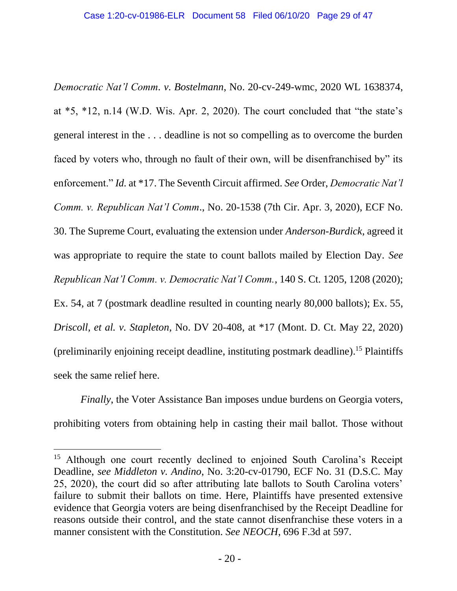<span id="page-28-1"></span><span id="page-28-0"></span>*Democratic Nat'l Comm. v. Bostelmann*, No. 20-cv-249-wmc, 2020 WL 1638374, at \*5, \*12, n.14 (W.D. Wis. Apr. 2, 2020). The court concluded that "the state's general interest in the . . . deadline is not so compelling as to overcome the burden faced by voters who, through no fault of their own, will be disenfranchised by" its enforcement." *Id.* at \*17. The Seventh Circuit affirmed. *See* Order, *Democratic Nat'l Comm. v. Republican Nat'l Comm*., No. 20-1538 (7th Cir. Apr. 3, 2020), ECF No. 30. The Supreme Court, evaluating the extension under *Anderson-Burdick*, agreed it was appropriate to require the state to count ballots mailed by Election Day. *See Republican Nat'l Comm. v. Democratic Nat'l Comm.*, 140 S. Ct. 1205, 1208 (2020); Ex. 54, at 7 (postmark deadline resulted in counting nearly 80,000 ballots); Ex. 55, *Driscoll, et al. v. Stapleton*, No. DV 20-408, at \*17 (Mont. D. Ct. May 22, 2020) (preliminarily enjoining receipt deadline, instituting postmark deadline).<sup>15</sup> Plaintiffs seek the same relief here.

<span id="page-28-5"></span><span id="page-28-2"></span>*Finally*, the Voter Assistance Ban imposes undue burdens on Georgia voters, prohibiting voters from obtaining help in casting their mail ballot. Those without

<span id="page-28-4"></span><span id="page-28-3"></span><sup>&</sup>lt;sup>15</sup> Although one court recently declined to enjoined South Carolina's Receipt Deadline, *see Middleton v. Andino*, No. 3:20-cv-01790, ECF No. 31 (D.S.C. May 25, 2020), the court did so after attributing late ballots to South Carolina voters' failure to submit their ballots on time. Here, Plaintiffs have presented extensive evidence that Georgia voters are being disenfranchised by the Receipt Deadline for reasons outside their control, and the state cannot disenfranchise these voters in a manner consistent with the Constitution. *See NEOCH*, 696 F.3d at 597.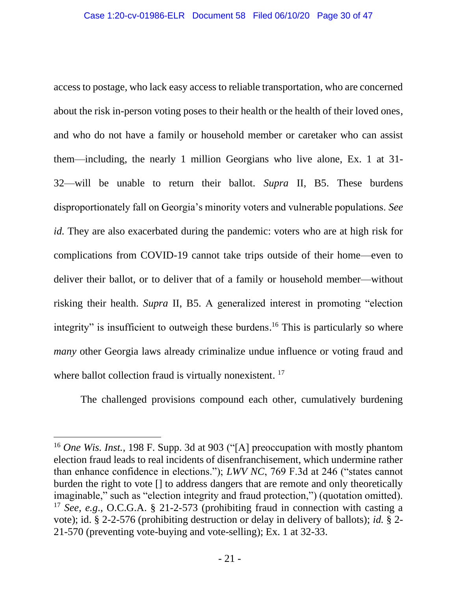access to postage, who lack easy access to reliable transportation, who are concerned about the risk in-person voting poses to their health or the health of their loved ones, and who do not have a family or household member or caretaker who can assist them—including, the nearly 1 million Georgians who live alone, Ex. 1 at 31- 32⸺will be unable to return their ballot. *Supra* II, B5. These burdens disproportionately fall on Georgia's minority voters and vulnerable populations. *See id.* They are also exacerbated during the pandemic: voters who are at high risk for complications from COVID-19 cannot take trips outside of their home—even to deliver their ballot, or to deliver that of a family or household member—without risking their health. *Supra* II, B5. A generalized interest in promoting "election integrity" is insufficient to outweigh these burdens.<sup>16</sup> This is particularly so where *many* other Georgia laws already criminalize undue influence or voting fraud and where ballot collection fraud is virtually nonexistent.<sup>17</sup>

<span id="page-29-3"></span><span id="page-29-0"></span>The challenged provisions compound each other, cumulatively burdening

<span id="page-29-4"></span><span id="page-29-2"></span><span id="page-29-1"></span><sup>16</sup> *One Wis. Inst.*, 198 F. Supp. 3d at 903 ("[A] preoccupation with mostly phantom election fraud leads to real incidents of disenfranchisement, which undermine rather than enhance confidence in elections."); *LWV NC*, 769 F.3d at 246 ("states cannot burden the right to vote [] to address dangers that are remote and only theoretically imaginable," such as "election integrity and fraud protection,") (quotation omitted). <sup>17</sup> *See, e.g*., O.C.G.A. § 21-2-573 (prohibiting fraud in connection with casting a vote); id. § 2-2-576 (prohibiting destruction or delay in delivery of ballots); *id.* § 2- 21-570 (preventing vote-buying and vote-selling); Ex. 1 at 32-33.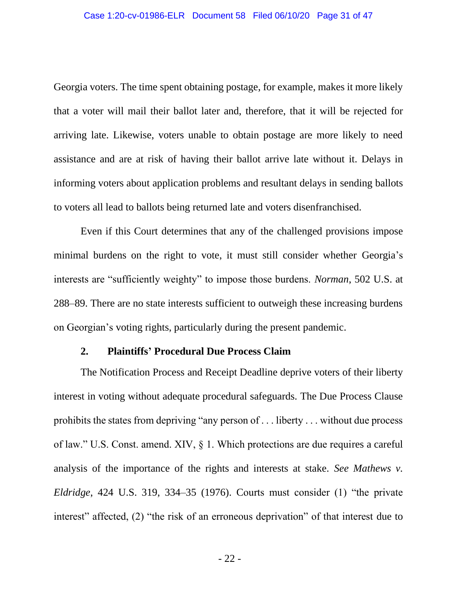Georgia voters. The time spent obtaining postage, for example, makes it more likely that a voter will mail their ballot later and, therefore, that it will be rejected for arriving late. Likewise, voters unable to obtain postage are more likely to need assistance and are at risk of having their ballot arrive late without it. Delays in informing voters about application problems and resultant delays in sending ballots to voters all lead to ballots being returned late and voters disenfranchised.

Even if this Court determines that any of the challenged provisions impose minimal burdens on the right to vote, it must still consider whether Georgia's interests are "sufficiently weighty" to impose those burdens. *Norman*, 502 U.S. at 288–89. There are no state interests sufficient to outweigh these increasing burdens on Georgian's voting rights, particularly during the present pandemic.

#### <span id="page-30-2"></span><span id="page-30-1"></span>**2. Plaintiffs' Procedural Due Process Claim**

<span id="page-30-3"></span><span id="page-30-0"></span>The Notification Process and Receipt Deadline deprive voters of their liberty interest in voting without adequate procedural safeguards. The Due Process Clause prohibits the states from depriving "any person of . . . liberty . . . without due process of law." U.S. Const. amend. XIV, § 1. Which protections are due requires a careful analysis of the importance of the rights and interests at stake. *See Mathews v. Eldridge*, 424 U.S. 319, 334–35 (1976). Courts must consider (1) "the private interest" affected, (2) "the risk of an erroneous deprivation" of that interest due to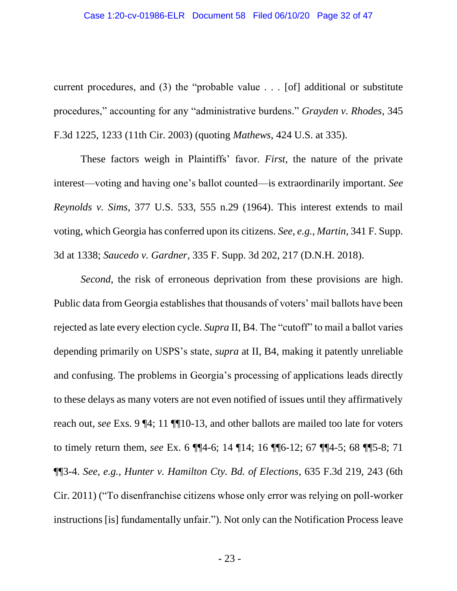#### <span id="page-31-0"></span>Case 1:20-cv-01986-ELR Document 58 Filed 06/10/20 Page 32 of 47

current procedures, and (3) the "probable value . . . [of] additional or substitute procedures," accounting for any "administrative burdens." *Grayden v. Rhodes*, 345 F.3d 1225, 1233 (11th Cir. 2003) (quoting *Mathews*, 424 U.S. at 335).

These factors weigh in Plaintiffs' favor. *First*, the nature of the private interest—voting and having one's ballot counted—is extraordinarily important. *See Reynolds v. Sims*, 377 U.S. 533, 555 n.29 (1964). This interest extends to mail voting, which Georgia has conferred upon its citizens. *See, e.g.*, *Martin*, 341 F. Supp. 3d at 1338; *Saucedo v. Gardner*, 335 F. Supp. 3d 202, 217 (D.N.H. 2018).

<span id="page-31-3"></span><span id="page-31-2"></span><span id="page-31-1"></span>*Second*, the risk of erroneous deprivation from these provisions are high. Public data from Georgia establishes that thousands of voters' mail ballots have been rejected as late every election cycle. *Supra* II, B4. The "cutoff" to mail a ballot varies depending primarily on USPS's state, *supra* at II, B4, making it patently unreliable and confusing. The problems in Georgia's processing of applications leads directly to these delays as many voters are not even notified of issues until they affirmatively reach out, *see* Exs. 9 ¶4; 11 ¶¶10-13, and other ballots are mailed too late for voters to timely return them, *see* Ex. 6 ¶¶4-6; 14 ¶14; 16 ¶¶6-12; 67 ¶¶4-5; 68 ¶¶5-8; 71 ¶¶3-4. *See, e.g.*, *Hunter v. Hamilton Cty. Bd. of Elections*, 635 F.3d 219, 243 (6th Cir. 2011) ("To disenfranchise citizens whose only error was relying on poll-worker instructions [is] fundamentally unfair."). Not only can the Notification Process leave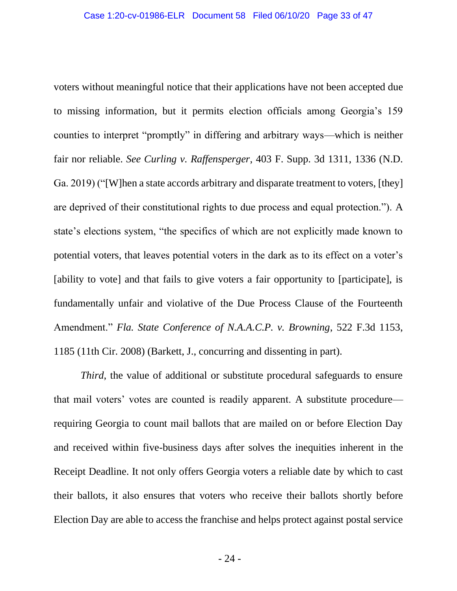<span id="page-32-0"></span>voters without meaningful notice that their applications have not been accepted due to missing information, but it permits election officials among Georgia's 159 counties to interpret "promptly" in differing and arbitrary ways—which is neither fair nor reliable. *See Curling v. Raffensperger*, 403 F. Supp. 3d 1311, 1336 (N.D. Ga. 2019) ("[W]hen a state accords arbitrary and disparate treatment to voters, [they] are deprived of their constitutional rights to due process and equal protection."). A state's elections system, "the specifics of which are not explicitly made known to potential voters, that leaves potential voters in the dark as to its effect on a voter's [ability to vote] and that fails to give voters a fair opportunity to [participate], is fundamentally unfair and violative of the Due Process Clause of the Fourteenth Amendment." *Fla. State Conference of N.A.A.C.P. v. Browning*, 522 F.3d 1153, 1185 (11th Cir. 2008) (Barkett, J., concurring and dissenting in part).

<span id="page-32-1"></span>*Third*, the value of additional or substitute procedural safeguards to ensure that mail voters' votes are counted is readily apparent. A substitute procedure requiring Georgia to count mail ballots that are mailed on or before Election Day and received within five-business days after solves the inequities inherent in the Receipt Deadline. It not only offers Georgia voters a reliable date by which to cast their ballots, it also ensures that voters who receive their ballots shortly before Election Day are able to access the franchise and helps protect against postal service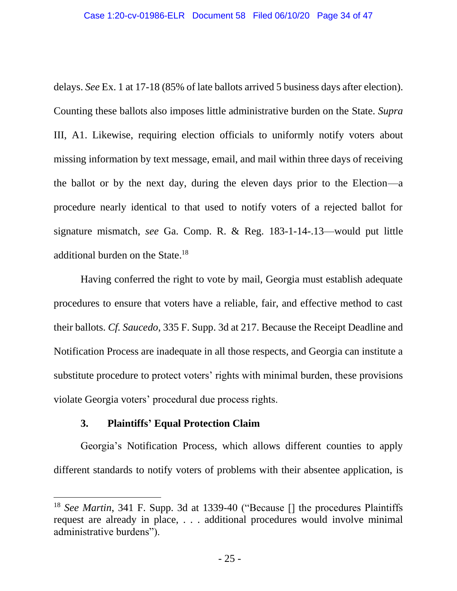delays. *See* Ex. 1 at 17-18 (85% of late ballots arrived 5 business days after election). Counting these ballots also imposes little administrative burden on the State. *Supra* III, A1. Likewise, requiring election officials to uniformly notify voters about missing information by text message, email, and mail within three days of receiving the ballot or by the next day, during the eleven days prior to the Election—a procedure nearly identical to that used to notify voters of a rejected ballot for signature mismatch, *see* Ga. Comp. R. & Reg. 183-1-14-.13—would put little additional burden on the State.<sup>18</sup>

<span id="page-33-2"></span>Having conferred the right to vote by mail, Georgia must establish adequate procedures to ensure that voters have a reliable, fair, and effective method to cast their ballots. *Cf. Saucedo*, 335 F. Supp. 3d at 217. Because the Receipt Deadline and Notification Process are inadequate in all those respects, and Georgia can institute a substitute procedure to protect voters' rights with minimal burden, these provisions violate Georgia voters' procedural due process rights.

# **3. Plaintiffs' Equal Protection Claim**

<span id="page-33-0"></span>Georgia's Notification Process, which allows different counties to apply different standards to notify voters of problems with their absentee application, is

<span id="page-33-1"></span><sup>&</sup>lt;sup>18</sup> *See Martin*, 341 F. Supp. 3d at 1339-40 ("Because [] the procedures Plaintiffs request are already in place, . . . additional procedures would involve minimal administrative burdens").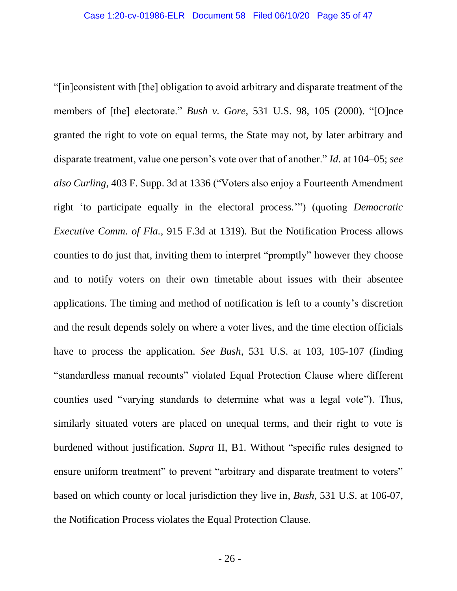<span id="page-34-1"></span><span id="page-34-0"></span>"[in]consistent with [the] obligation to avoid arbitrary and disparate treatment of the members of [the] electorate." *Bush v. Gore*, 531 U.S. 98, 105 (2000). "[O]nce granted the right to vote on equal terms, the State may not, by later arbitrary and disparate treatment, value one person's vote over that of another." *Id.* at 104–05; *see also Curling*, 403 F. Supp. 3d at 1336 ("Voters also enjoy a Fourteenth Amendment right 'to participate equally in the electoral process.'") (quoting *Democratic Executive Comm. of Fla.*, 915 F.3d at 1319). But the Notification Process allows counties to do just that, inviting them to interpret "promptly" however they choose and to notify voters on their own timetable about issues with their absentee applications. The timing and method of notification is left to a county's discretion and the result depends solely on where a voter lives, and the time election officials have to process the application. *See Bush*, 531 U.S. at 103, 105-107 (finding "standardless manual recounts" violated Equal Protection Clause where different counties used "varying standards to determine what was a legal vote"). Thus, similarly situated voters are placed on unequal terms, and their right to vote is burdened without justification. *Supra* II, B1. Without "specific rules designed to ensure uniform treatment" to prevent "arbitrary and disparate treatment to voters" based on which county or local jurisdiction they live in, *Bush*, 531 U.S. at 106-07, the Notification Process violates the Equal Protection Clause.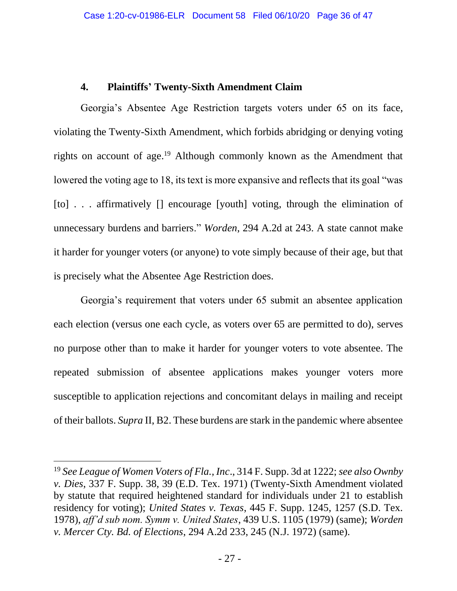# **4. Plaintiffs' Twenty-Sixth Amendment Claim**

<span id="page-35-0"></span>Georgia's Absentee Age Restriction targets voters under 65 on its face, violating the Twenty-Sixth Amendment, which forbids abridging or denying voting rights on account of age.<sup>19</sup> Although commonly known as the Amendment that lowered the voting age to 18, its text is more expansive and reflects that its goal "was [to] . . . affirmatively [] encourage [youth] voting, through the elimination of unnecessary burdens and barriers." *Worden*, 294 A.2d at 243. A state cannot make it harder for younger voters (or anyone) to vote simply because of their age, but that is precisely what the Absentee Age Restriction does.

Georgia's requirement that voters under 65 submit an absentee application each election (versus one each cycle, as voters over 65 are permitted to do), serves no purpose other than to make it harder for younger voters to vote absentee. The repeated submission of absentee applications makes younger voters more susceptible to application rejections and concomitant delays in mailing and receipt of their ballots. *Supra* II, B2. These burdens are stark in the pandemic where absentee

<span id="page-35-4"></span><span id="page-35-3"></span><span id="page-35-2"></span><span id="page-35-1"></span><sup>19</sup> *See League of Women Voters of Fla., Inc*., 314 F. Supp. 3d at 1222; *see also Ownby v. Dies*, 337 F. Supp. 38, 39 (E.D. Tex. 1971) (Twenty-Sixth Amendment violated by statute that required heightened standard for individuals under 21 to establish residency for voting); *United States v. Texas*, 445 F. Supp. 1245, 1257 (S.D. Tex. 1978), *aff'd sub nom. Symm v. United States*, 439 U.S. 1105 (1979) (same); *Worden v. Mercer Cty. Bd. of Elections*, 294 A.2d 233, 245 (N.J. 1972) (same).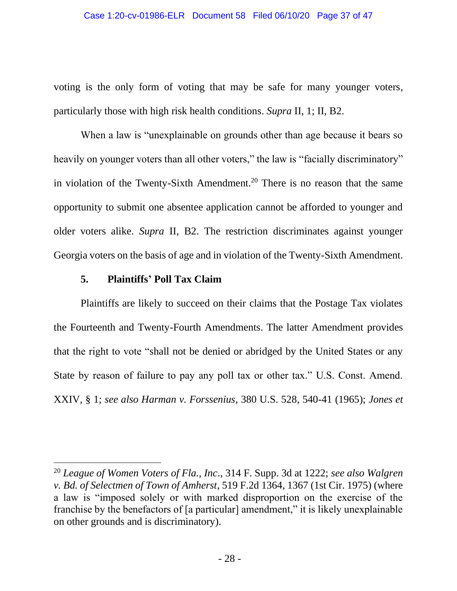voting is the only form of voting that may be safe for many younger voters, particularly those with high risk health conditions. *Supra* II, 1; II, B2.

When a law is "unexplainable on grounds other than age because it bears so heavily on younger voters than all other voters," the law is "facially discriminatory" in violation of the Twenty-Sixth Amendment.<sup>20</sup> There is no reason that the same opportunity to submit one absentee application cannot be afforded to younger and older voters alike. *Supra* II, B2. The restriction discriminates against younger Georgia voters on the basis of age and in violation of the Twenty-Sixth Amendment.

### <span id="page-36-5"></span><span id="page-36-2"></span>**5. Plaintiffs' Poll Tax Claim**

<span id="page-36-0"></span>Plaintiffs are likely to succeed on their claims that the Postage Tax violates the Fourteenth and Twenty-Fourth Amendments. The latter Amendment provides that the right to vote "shall not be denied or abridged by the United States or any State by reason of failure to pay any poll tax or other tax." U.S. Const. Amend. XXIV, § 1; *see also Harman v. Forssenius*, 380 U.S. 528, 540-41 (1965); *Jones et* 

<span id="page-36-4"></span><span id="page-36-3"></span><span id="page-36-1"></span><sup>20</sup> *League of Women Voters of Fla., Inc*., 314 F. Supp. 3d at 1222; *see also Walgren v. Bd. of Selectmen of Town of Amherst*, 519 F.2d 1364, 1367 (1st Cir. 1975) (where a law is "imposed solely or with marked disproportion on the exercise of the franchise by the benefactors of [a particular] amendment," it is likely unexplainable on other grounds and is discriminatory).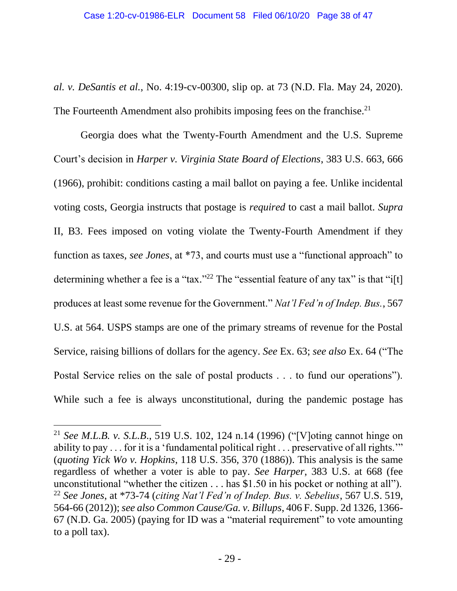*al. v. DeSantis et al.*, No. 4:19-cv-00300, slip op. at 73 (N.D. Fla. May 24, 2020). The Fourteenth Amendment also prohibits imposing fees on the franchise.<sup>21</sup>

<span id="page-37-2"></span>Georgia does what the Twenty-Fourth Amendment and the U.S. Supreme Court's decision in *Harper v. Virginia State Board of Elections*, 383 U.S. 663, 666 (1966), prohibit: conditions casting a mail ballot on paying a fee. Unlike incidental voting costs, Georgia instructs that postage is *required* to cast a mail ballot. *Supra*  II, B3. Fees imposed on voting violate the Twenty-Fourth Amendment if they function as taxes, *see Jones*, at \*73, and courts must use a "functional approach" to determining whether a fee is a "tax."<sup>22</sup> The "essential feature of any tax" is that "i[t] produces at least some revenue for the Government." *Nat'l Fed'n of Indep. Bus.*, 567 U.S. at 564. USPS stamps are one of the primary streams of revenue for the Postal Service, raising billions of dollars for the agency. *See* Ex. 63; *see also* Ex. 64 ("The Postal Service relies on the sale of postal products . . . to fund our operations"). While such a fee is always unconstitutional, during the pandemic postage has

<span id="page-37-4"></span><span id="page-37-3"></span><span id="page-37-1"></span><span id="page-37-0"></span><sup>21</sup> *See M.L.B. v. S.L.B*., 519 U.S. 102, 124 n.14 (1996) ("[V]oting cannot hinge on ability to pay . . . for it is a 'fundamental political right . . . preservative of all rights.'" (*quoting Yick Wo v. Hopkins*, 118 U.S. 356, 370 (1886)). This analysis is the same regardless of whether a voter is able to pay. *See Harper*, 383 U.S. at 668 (fee unconstitutional "whether the citizen . . . has \$1.50 in his pocket or nothing at all"). <sup>22</sup> *See Jones*, at \*73-74 (*citing Nat'l Fed'n of Indep. Bus. v. Sebelius*, 567 U.S. 519, 564-66 (2012)); *see also Common Cause/Ga. v. Billups*, 406 F. Supp. 2d 1326, 1366- 67 (N.D. Ga. 2005) (paying for ID was a "material requirement" to vote amounting to a poll tax).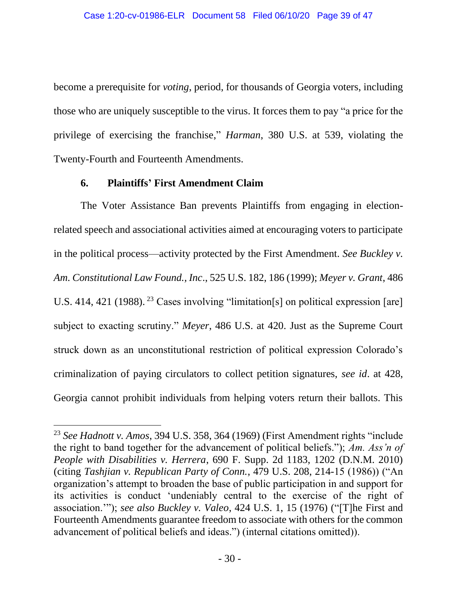become a prerequisite for *voting*, period, for thousands of Georgia voters, including those who are uniquely susceptible to the virus. It forces them to pay "a price for the privilege of exercising the franchise," *Harman*, 380 U.S. at 539, violating the Twenty-Fourth and Fourteenth Amendments.

## <span id="page-38-6"></span><span id="page-38-5"></span><span id="page-38-2"></span>**6. Plaintiffs' First Amendment Claim**

<span id="page-38-0"></span>The Voter Assistance Ban prevents Plaintiffs from engaging in electionrelated speech and associational activities aimed at encouraging voters to participate in the political process—activity protected by the First Amendment. *See Buckley v. Am. Constitutional Law Found., Inc*., 525 U.S. 182, 186 (1999); *Meyer v. Grant*, 486 U.S. 414, 421 (1988).<sup>23</sup> Cases involving "limitation[s] on political expression [are] subject to exacting scrutiny." *Meyer*, 486 U.S. at 420. Just as the Supreme Court struck down as an unconstitutional restriction of political expression Colorado's criminalization of paying circulators to collect petition signatures, *see id*. at 428, Georgia cannot prohibit individuals from helping voters return their ballots. This

<span id="page-38-4"></span><span id="page-38-3"></span><span id="page-38-1"></span><sup>23</sup> *See Hadnott v. Amos*, 394 U.S. 358, 364 (1969) (First Amendment rights "include the right to band together for the advancement of political beliefs."); *Am. Ass'n of People with Disabilities v. Herrera*, 690 F. Supp. 2d 1183, 1202 (D.N.M. 2010) (citing *Tashjian v. Republican Party of Conn.*, 479 U.S. 208, 214-15 (1986)) ("An organization's attempt to broaden the base of public participation in and support for its activities is conduct 'undeniably central to the exercise of the right of association.'"); *see also Buckley v. Valeo*, 424 U.S. 1, 15 (1976) ("[T]he First and Fourteenth Amendments guarantee freedom to associate with others for the common advancement of political beliefs and ideas.") (internal citations omitted)).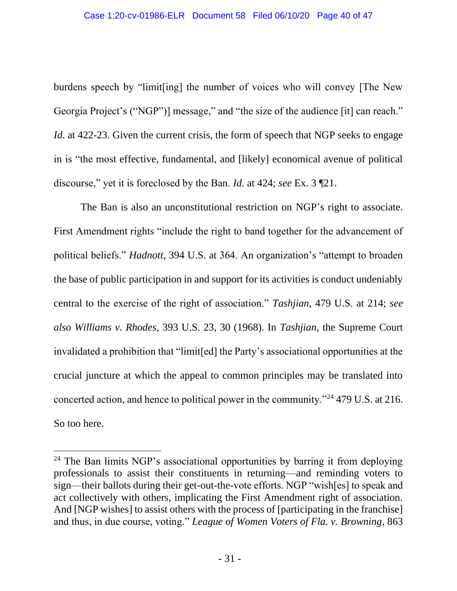<span id="page-39-2"></span>burdens speech by "limit[ing] the number of voices who will convey [The New Georgia Project's ("NGP")] message," and "the size of the audience [it] can reach." *Id*. at 422-23. Given the current crisis, the form of speech that NGP seeks to engage in is "the most effective, fundamental, and [likely] economical avenue of political discourse," yet it is foreclosed by the Ban. *Id.* at 424; *see* Ex. 3 ¶21.

<span id="page-39-4"></span><span id="page-39-3"></span><span id="page-39-0"></span>The Ban is also an unconstitutional restriction on NGP's right to associate. First Amendment rights "include the right to band together for the advancement of political beliefs." *Hadnott*, 394 U.S. at 364. An organization's "attempt to broaden the base of public participation in and support for its activities is conduct undeniably central to the exercise of the right of association." *Tashjian*, 479 U.S. at 214; *see also Williams v. Rhodes*, 393 U.S. 23, 30 (1968). In *Tashjian*, the Supreme Court invalidated a prohibition that "limit[ed] the Party's associational opportunities at the crucial juncture at which the appeal to common principles may be translated into concerted action, and hence to political power in the community."<sup>24</sup> 479 U.S. at 216. So too here.

<span id="page-39-1"></span><sup>&</sup>lt;sup>24</sup> The Ban limits NGP's associational opportunities by barring it from deploying professionals to assist their constituents in returning—and reminding voters to sign—their ballots during their get-out-the-vote efforts. NGP "wish[es] to speak and act collectively with others, implicating the First Amendment right of association. And [NGP wishes] to assist others with the process of [participating in the franchise] and thus, in due course, voting." *League of Women Voters of Fla. v. Browning*, 863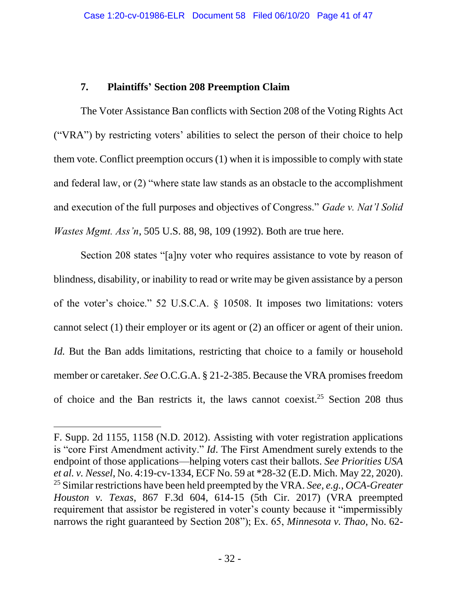# <span id="page-40-1"></span>**7. Plaintiffs' Section 208 Preemption Claim**

<span id="page-40-0"></span>The Voter Assistance Ban conflicts with Section 208 of the Voting Rights Act ("VRA") by restricting voters' abilities to select the person of their choice to help them vote. Conflict preemption occurs (1) when it is impossible to comply with state and federal law, or (2) "where state law stands as an obstacle to the accomplishment and execution of the full purposes and objectives of Congress." *Gade v. Nat'l Solid Wastes Mgmt. Ass'n*, 505 U.S. 88, 98, 109 (1992). Both are true here.

<span id="page-40-5"></span>Section 208 states "[a]ny voter who requires assistance to vote by reason of blindness, disability, or inability to read or write may be given assistance by a person of the voter's choice." 52 U.S.C.A. § 10508. It imposes two limitations: voters cannot select (1) their employer or its agent or (2) an officer or agent of their union. *Id.* But the Ban adds limitations, restricting that choice to a family or household member or caretaker. *See* O.C.G.A. § 21-2-385. Because the VRA promises freedom of choice and the Ban restricts it, the laws cannot coexist.<sup>25</sup> Section 208 thus

<span id="page-40-6"></span><span id="page-40-4"></span><span id="page-40-3"></span><span id="page-40-2"></span>F. Supp. 2d 1155, 1158 (N.D. 2012). Assisting with voter registration applications is "core First Amendment activity." *Id*. The First Amendment surely extends to the endpoint of those applications—helping voters cast their ballots. *See Priorities USA et al. v. Nessel*, No. 4:19-cv-1334, ECF No. 59 at \*28-32 (E.D. Mich. May 22, 2020). <sup>25</sup> Similar restrictions have been held preempted by the VRA. *See, e.g.*, *OCA-Greater Houston v. Texas*, 867 F.3d 604, 614-15 (5th Cir. 2017) (VRA preempted requirement that assistor be registered in voter's county because it "impermissibly narrows the right guaranteed by Section 208"); Ex. 65, *Minnesota v. Thao*, No. 62-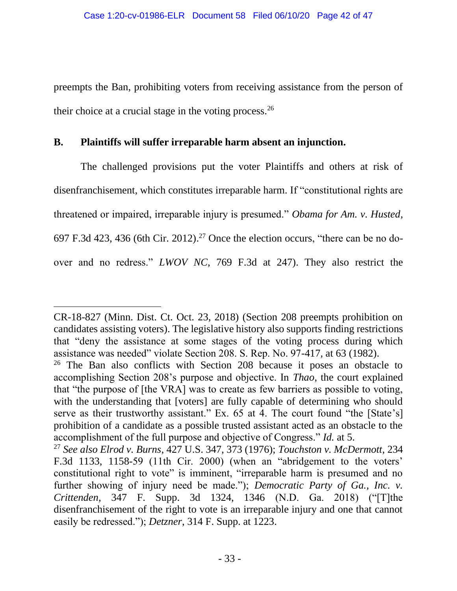preempts the Ban, prohibiting voters from receiving assistance from the person of their choice at a crucial stage in the voting process.  $26$ 

# <span id="page-41-0"></span>**B. Plaintiffs will suffer irreparable harm absent an injunction.**

<span id="page-41-5"></span>The challenged provisions put the voter Plaintiffs and others at risk of disenfranchisement, which constitutes irreparable harm. If "constitutional rights are threatened or impaired, irreparable injury is presumed." *Obama for Am. v. Husted*, 697 F.3d 423, 436 (6th Cir. 2012).<sup>27</sup> Once the election occurs, "there can be no doover and no redress." *LWOV NC*, 769 F.3d at 247). They also restrict the

<span id="page-41-4"></span>CR-18-827 (Minn. Dist. Ct. Oct. 23, 2018) (Section 208 preempts prohibition on candidates assisting voters). The legislative history also supports finding restrictions that "deny the assistance at some stages of the voting process during which assistance was needed" violate Section 208. S. Rep. No. 97-417, at 63 (1982).

<span id="page-41-7"></span><sup>&</sup>lt;sup>26</sup> The Ban also conflicts with Section 208 because it poses an obstacle to accomplishing Section 208's purpose and objective. In *Thao*, the court explained that "the purpose of [the VRA] was to create as few barriers as possible to voting, with the understanding that [voters] are fully capable of determining who should serve as their trustworthy assistant." Ex. 65 at 4. The court found "the [State's] prohibition of a candidate as a possible trusted assistant acted as an obstacle to the accomplishment of the full purpose and objective of Congress." *Id.* at 5.

<span id="page-41-6"></span><span id="page-41-3"></span><span id="page-41-2"></span><span id="page-41-1"></span><sup>27</sup> *See also Elrod v. Burns*, 427 U.S. 347, 373 (1976); *Touchston v. McDermott*, 234 F.3d 1133, 1158-59 (11th Cir. 2000) (when an "abridgement to the voters' constitutional right to vote" is imminent, "irreparable harm is presumed and no further showing of injury need be made."); *Democratic Party of Ga., Inc. v. Crittenden*, 347 F. Supp. 3d 1324, 1346 (N.D. Ga. 2018) ("[T]the disenfranchisement of the right to vote is an irreparable injury and one that cannot easily be redressed."); *Detzner*, 314 F. Supp. at 1223.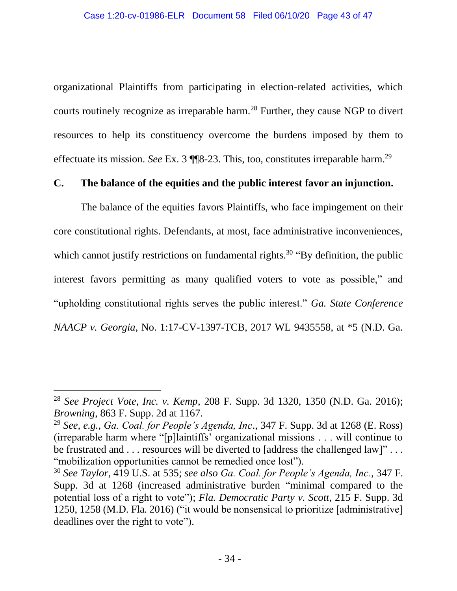organizational Plaintiffs from participating in election-related activities, which courts routinely recognize as irreparable harm.<sup>28</sup> Further, they cause NGP to divert resources to help its constituency overcome the burdens imposed by them to effectuate its mission. *See* Ex. 3 ¶¶8-23. This, too, constitutes irreparable harm.<sup>29</sup>

# <span id="page-42-0"></span>**C. The balance of the equities and the public interest favor an injunction.**

<span id="page-42-2"></span>The balance of the equities favors Plaintiffs, who face impingement on their core constitutional rights. Defendants, at most, face administrative inconveniences, which cannot justify restrictions on fundamental rights.<sup>30</sup> "By definition, the public interest favors permitting as many qualified voters to vote as possible," and "upholding constitutional rights serves the public interest." *Ga. State Conference NAACP v. Georgia*, No. 1:17-CV-1397-TCB, 2017 WL 9435558, at \*5 (N.D. Ga.

<span id="page-42-4"></span><span id="page-42-3"></span><sup>28</sup> *See Project Vote, Inc. v. Kemp*, 208 F. Supp. 3d 1320, 1350 (N.D. Ga. 2016); *Browning*, 863 F. Supp. 2d at 1167.

<span id="page-42-1"></span><sup>29</sup> *See, e.g.*, *Ga. Coal. for People's Agenda, Inc*., 347 F. Supp. 3d at 1268 (E. Ross) (irreparable harm where "[p]laintiffs' organizational missions . . . will continue to be frustrated and . . . resources will be diverted to [address the challenged law]" . . . "mobilization opportunities cannot be remedied once lost").

<span id="page-42-5"></span><sup>30</sup> *See Taylor*, 419 U.S. at 535; *see also Ga. Coal. for People's Agenda, Inc.*, 347 F. Supp. 3d at 1268 (increased administrative burden "minimal compared to the potential loss of a right to vote"); *Fla. Democratic Party v. Scott*, 215 F. Supp. 3d 1250, 1258 (M.D. Fla. 2016) ("it would be nonsensical to prioritize [administrative] deadlines over the right to vote").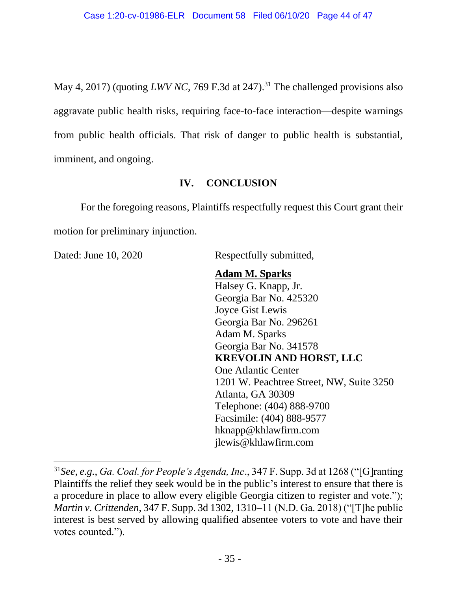May 4, 2017) (quoting *LWV NC*, 769 F.3d at 247). <sup>31</sup> The challenged provisions also aggravate public health risks, requiring face-to-face interaction—despite warnings from public health officials. That risk of danger to public health is substantial, imminent, and ongoing.

# **IV. CONCLUSION**

<span id="page-43-0"></span>For the foregoing reasons, Plaintiffs respectfully request this Court grant their motion for preliminary injunction.

Dated: June 10, 2020 Respectfully submitted,

# **Adam M. Sparks**

Halsey G. Knapp, Jr. Georgia Bar No. 425320 Joyce Gist Lewis Georgia Bar No. 296261 Adam M. Sparks Georgia Bar No. 341578 **KREVOLIN AND HORST, LLC** One Atlantic Center 1201 W. Peachtree Street, NW, Suite 3250 Atlanta, GA 30309 Telephone: (404) 888-9700 Facsimile: (404) 888-9577 hknapp@khlawfirm.com jlewis@khlawfirm.com

<span id="page-43-2"></span><span id="page-43-1"></span><sup>31</sup>*See, e.g.*, *Ga. Coal. for People's Agenda, Inc*., 347 F. Supp. 3d at 1268 ("[G]ranting Plaintiffs the relief they seek would be in the public's interest to ensure that there is a procedure in place to allow every eligible Georgia citizen to register and vote."); *Martin v. Crittenden*, 347 F. Supp. 3d 1302, 1310–11 (N.D. Ga. 2018) ("[T]he public interest is best served by allowing qualified absentee voters to vote and have their votes counted.").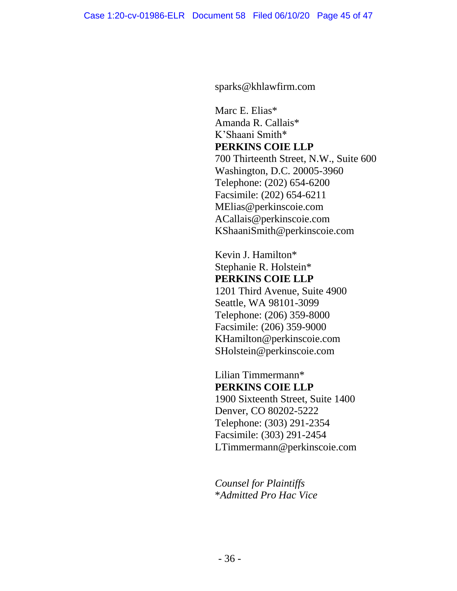sparks@khlawfirm.com

Marc E. Elias\* Amanda R. Callais\* K'Shaani Smith\* **PERKINS COIE LLP** 700 Thirteenth Street, N.W., Suite 600 Washington, D.C. 20005-3960 Telephone: (202) 654-6200 Facsimile: (202) 654-6211 MElias@perkinscoie.com ACallais@perkinscoie.com KShaaniSmith@perkinscoie.com

Kevin J. Hamilton\* Stephanie R. Holstein\* **PERKINS COIE LLP** 1201 Third Avenue, Suite 4900

Seattle, WA 98101-3099 Telephone: (206) 359-8000 Facsimile: (206) 359-9000 KHamilton@perkinscoie.com SHolstein@perkinscoie.com

Lilian Timmermann\* **PERKINS COIE LLP** 1900 Sixteenth Street, Suite 1400 Denver, CO 80202-5222 Telephone: (303) 291-2354 Facsimile: (303) 291-2454 LTimmermann@perkinscoie.com

*Counsel for Plaintiffs* \**Admitted Pro Hac Vice*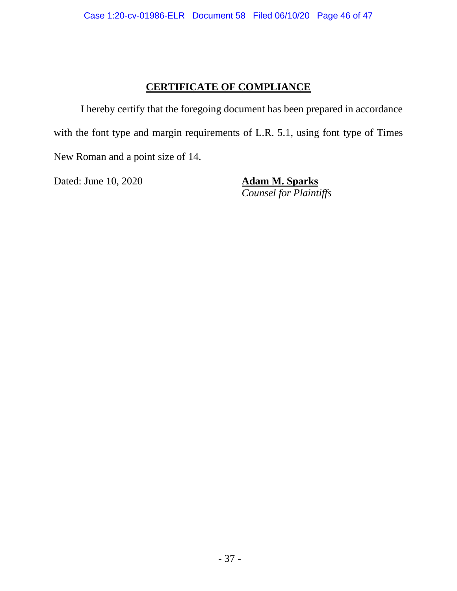# **CERTIFICATE OF COMPLIANCE**

I hereby certify that the foregoing document has been prepared in accordance with the font type and margin requirements of L.R. 5.1, using font type of Times New Roman and a point size of 14.

Dated: June 10, 2020 **Adam M. Sparks**

*Counsel for Plaintiffs*